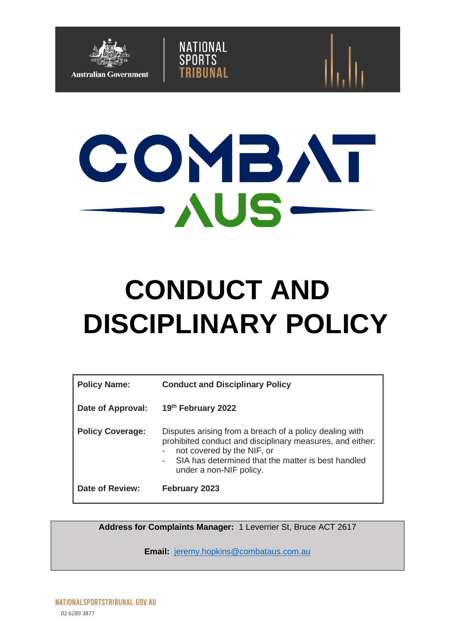



NATIONAL<br>SPORTS

# **CONDUCT AND DISCIPLINARY POLICY**

| <b>Policy Name:</b>     | <b>Conduct and Disciplinary Policy</b>                                                                                                                                                                                                                                                      |  |
|-------------------------|---------------------------------------------------------------------------------------------------------------------------------------------------------------------------------------------------------------------------------------------------------------------------------------------|--|
| Date of Approval:       | 19th February 2022                                                                                                                                                                                                                                                                          |  |
| <b>Policy Coverage:</b> | Disputes arising from a breach of a policy dealing with<br>prohibited conduct and disciplinary measures, and either:<br>not covered by the NIF, or<br>$\overline{\phantom{a}}$<br>SIA has determined that the matter is best handled<br>$\overline{\phantom{a}}$<br>under a non-NIF policy. |  |
| <b>Date of Review:</b>  | February 2023                                                                                                                                                                                                                                                                               |  |

**Address for Complaints Manager:** 1 Leverrier St, Bruce ACT 2617

**Email:** [jeremy.hopkins@combataus.com.au](mailto:jeremy.hopkins@combataus.com.au)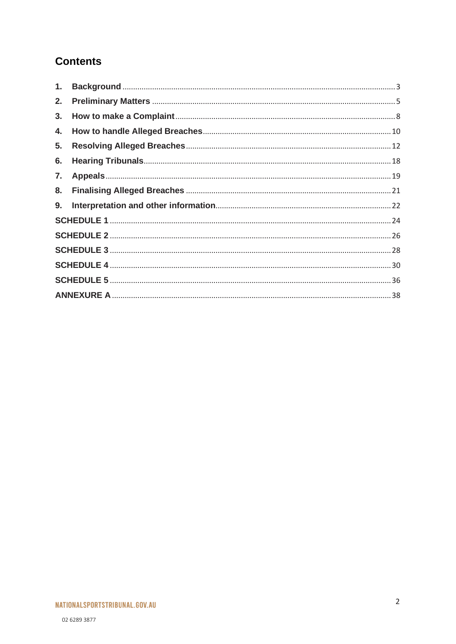# **Contents**

| 2. |  |  |  |
|----|--|--|--|
| 3. |  |  |  |
| 4. |  |  |  |
| 5. |  |  |  |
| 6. |  |  |  |
| 7. |  |  |  |
| 8. |  |  |  |
| 9. |  |  |  |
|    |  |  |  |
|    |  |  |  |
|    |  |  |  |
|    |  |  |  |
|    |  |  |  |
|    |  |  |  |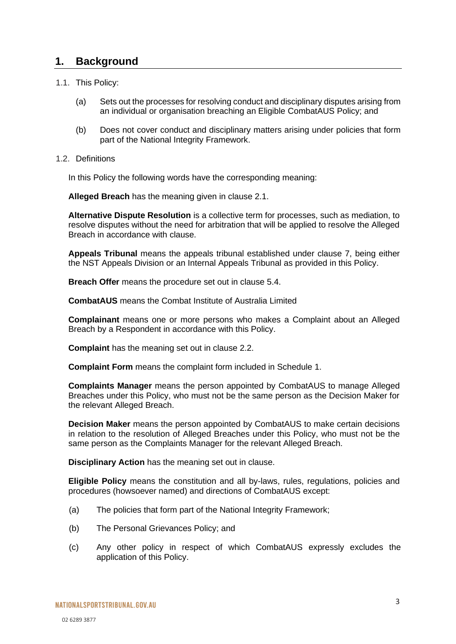## <span id="page-2-0"></span>**1. Background**

- 1.1. This Policy:
	- (a) Sets out the processes for resolving conduct and disciplinary disputes arising from an individual or organisation breaching an Eligible CombatAUS Policy; and
	- (b) Does not cover conduct and disciplinary matters arising under policies that form part of the National Integrity Framework.
- 1.2. Definitions

In this Policy the following words have the corresponding meaning:

**Alleged Breach** has the meaning given in clause [2.1.](#page-4-1)

**Alternative Dispute Resolution** is a collective term for processes, such as mediation, to resolve disputes without the need for arbitration that will be applied to resolve the Alleged Breach in accordance with clause.

**Appeals Tribunal** means the appeals tribunal established under clause [7,](#page-18-0) being either the NST Appeals Division or an Internal Appeals Tribunal as provided in this Policy.

**Breach Offer** means the procedure set out in clause [5.4.](#page-14-0)

**CombatAUS** means the Combat Institute of Australia Limited

**Complainant** means one or more persons who makes a Complaint about an Alleged Breach by a Respondent in accordance with this Policy.

**Complaint** has the meaning set out in clause [2.2.](#page-5-0)

**Complaint Form** means the complaint form included in Schedule 1.

**Complaints Manager** means the person appointed by CombatAUS to manage Alleged Breaches under this Policy, who must not be the same person as the Decision Maker for the relevant Alleged Breach.

**Decision Maker** means the person appointed by CombatAUS to make certain decisions in relation to the resolution of Alleged Breaches under this Policy, who must not be the same person as the Complaints Manager for the relevant Alleged Breach.

**Disciplinary Action** has the meaning set out in clause.

**Eligible Policy** means the constitution and all by-laws, rules, regulations, policies and procedures (howsoever named) and directions of CombatAUS except:

- (a) The policies that form part of the National Integrity Framework;
- (b) The Personal Grievances Policy; and
- (c) Any other policy in respect of which CombatAUS expressly excludes the application of this Policy.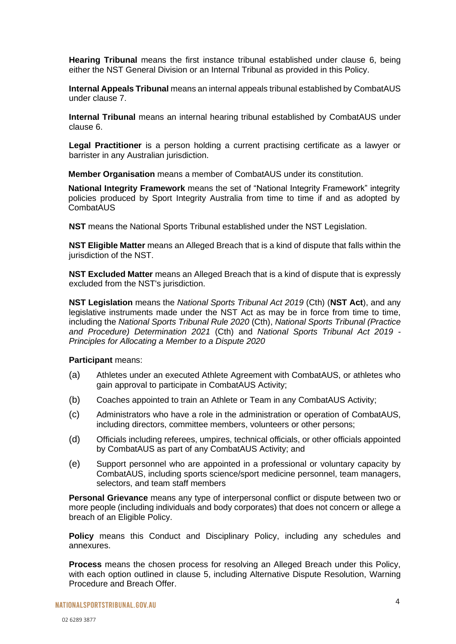**Hearing Tribunal** means the first instance tribunal established under clause [6,](#page-17-0) being either the NST General Division or an Internal Tribunal as provided in this Policy.

**Internal Appeals Tribunal** means an internal appeals tribunal established by CombatAUS under clause [7.](#page-18-0)

**Internal Tribunal** means an internal hearing tribunal established by CombatAUS under clause [6.](#page-17-0)

**Legal Practitioner** is a person holding a current practising certificate as a lawyer or barrister in any Australian jurisdiction.

**Member Organisation** means a member of CombatAUS under its constitution.

**National Integrity Framework** means the set of "National Integrity Framework" integrity policies produced by Sport Integrity Australia from time to time if and as adopted by CombatAUS

**NST** means the National Sports Tribunal established under the NST Legislation.

**NST Eligible Matter** means an Alleged Breach that is a kind of dispute that falls within the jurisdiction of the NST.

**NST Excluded Matter** means an Alleged Breach that is a kind of dispute that is expressly excluded from the NST's jurisdiction.

**NST Legislation** means the *National Sports Tribunal Act 2019* (Cth) (**NST Act**), and any legislative instruments made under the NST Act as may be in force from time to time, including the *National Sports Tribunal Rule 2020* (Cth), *National Sports Tribunal (Practice and Procedure) Determination 2021* (Cth) and *National Sports Tribunal Act 2019 - Principles for Allocating a Member to a Dispute 2020*

#### **Participant** means:

- (a) Athletes under an executed Athlete Agreement with CombatAUS, or athletes who gain approval to participate in CombatAUS Activity;
- (b) Coaches appointed to train an Athlete or Team in any CombatAUS Activity;
- (c) Administrators who have a role in the administration or operation of CombatAUS, including directors, committee members, volunteers or other persons;
- (d) Officials including referees, umpires, technical officials, or other officials appointed by CombatAUS as part of any CombatAUS Activity; and
- (e) Support personnel who are appointed in a professional or voluntary capacity by CombatAUS, including sports science/sport medicine personnel, team managers, selectors, and team staff members

**Personal Grievance** means any type of interpersonal conflict or dispute between two or more people (including individuals and body corporates) that does not concern or allege a breach of an Eligible Policy.

**Policy** means this Conduct and Disciplinary Policy, including any schedules and annexures.

**Process** means the chosen process for resolving an Alleged Breach under this Policy, with each option outlined in clause [5,](#page-11-0) including Alternative Dispute Resolution, Warning Procedure and Breach Offer.

NATIONALSPORTSTRIBUNAL.GOV.AU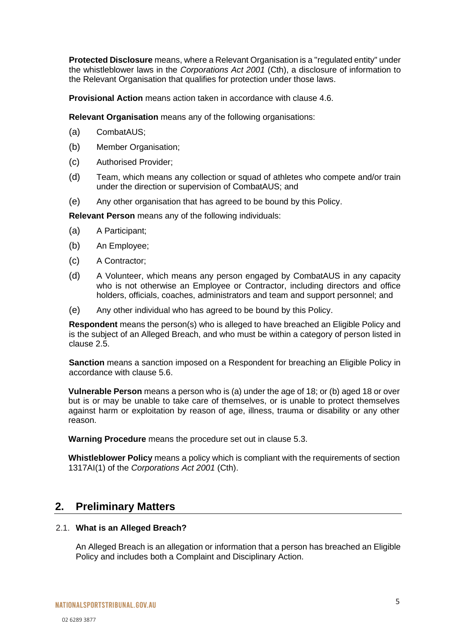**Protected Disclosure** means, where a Relevant Organisation is a "regulated entity" under the whistleblower laws in the *Corporations Act 2001* (Cth), a disclosure of information to the Relevant Organisation that qualifies for protection under those laws.

**Provisional Action** means action taken in accordance with clause [4.6.](#page-10-0)

**Relevant Organisation** means any of the following organisations:

- (a) CombatAUS;
- (b) Member Organisation;
- (c) Authorised Provider;
- (d) Team, which means any collection or squad of athletes who compete and/or train under the direction or supervision of CombatAUS; and
- (e) Any other organisation that has agreed to be bound by this Policy.

**Relevant Person** means any of the following individuals:

- (a) A Participant;
- (b) An Employee;
- (c) A Contractor;
- (d) A Volunteer, which means any person engaged by CombatAUS in any capacity who is not otherwise an Employee or Contractor, including directors and office holders, officials, coaches, administrators and team and support personnel; and
- (e) Any other individual who has agreed to be bound by this Policy.

**Respondent** means the person(s) who is alleged to have breached an Eligible Policy and is the subject of an Alleged Breach, and who must be within a category of person listed in clause [2.5.](#page-5-1)

**Sanction** means a sanction imposed on a Respondent for breaching an Eligible Policy in accordance with clause [5.6.](#page-16-0)

**Vulnerable Person** means a person who is (a) under the age of 18; or (b) aged 18 or over but is or may be unable to take care of themselves, or is unable to protect themselves against harm or exploitation by reason of age, illness, trauma or disability or any other reason.

**Warning Procedure** means the procedure set out in clause [5.3.](#page-13-0)

**Whistleblower Policy** means a policy which is compliant with the requirements of section 1317AI(1) of the *Corporations Act 2001* (Cth).

## <span id="page-4-0"></span>**2. Preliminary Matters**

#### <span id="page-4-1"></span>2.1. **What is an Alleged Breach?**

An Alleged Breach is an allegation or information that a person has breached an Eligible Policy and includes both a Complaint and Disciplinary Action.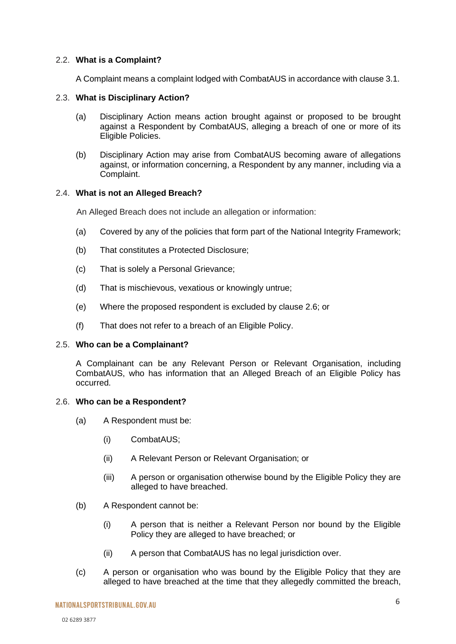#### <span id="page-5-0"></span>2.2. **What is a Complaint?**

A Complaint means a complaint lodged with CombatAUS in accordance with clause [3.1.](#page-7-1)

#### 2.3. **What is Disciplinary Action?**

- (a) Disciplinary Action means action brought against or proposed to be brought against a Respondent by CombatAUS, alleging a breach of one or more of its Eligible Policies.
- (b) Disciplinary Action may arise from CombatAUS becoming aware of allegations against, or information concerning, a Respondent by any manner, including via a Complaint.

#### <span id="page-5-3"></span>2.4. **What is not an Alleged Breach?**

An Alleged Breach does not include an allegation or information:

- (a) Covered by any of the policies that form part of the National Integrity Framework;
- (b) That constitutes a Protected Disclosure;
- (c) That is solely a Personal Grievance;
- (d) That is mischievous, vexatious or knowingly untrue;
- (e) Where the proposed respondent is excluded by clause [2.6;](#page-5-2) or
- (f) That does not refer to a breach of an Eligible Policy.

#### <span id="page-5-1"></span>2.5. **Who can be a Complainant?**

A Complainant can be any Relevant Person or Relevant Organisation, including CombatAUS, who has information that an Alleged Breach of an Eligible Policy has occurred.

#### <span id="page-5-2"></span>2.6. **Who can be a Respondent?**

- (a) A Respondent must be:
	- (i) CombatAUS;
	- (ii) A Relevant Person or Relevant Organisation; or
	- (iii) A person or organisation otherwise bound by the Eligible Policy they are alleged to have breached.
- (b) A Respondent cannot be:
	- (i) A person that is neither a Relevant Person nor bound by the Eligible Policy they are alleged to have breached; or
	- (ii) A person that CombatAUS has no legal jurisdiction over.
- (c) A person or organisation who was bound by the Eligible Policy that they are alleged to have breached at the time that they allegedly committed the breach,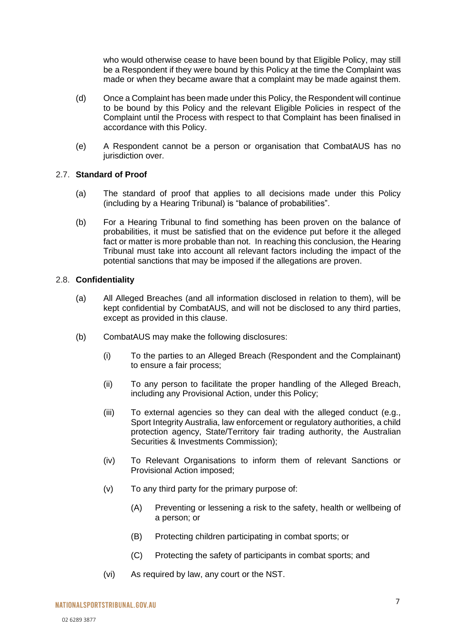who would otherwise cease to have been bound by that Eligible Policy, may still be a Respondent if they were bound by this Policy at the time the Complaint was made or when they became aware that a complaint may be made against them.

- (d) Once a Complaint has been made under this Policy, the Respondent will continue to be bound by this Policy and the relevant Eligible Policies in respect of the Complaint until the Process with respect to that Complaint has been finalised in accordance with this Policy.
- (e) A Respondent cannot be a person or organisation that CombatAUS has no jurisdiction over.

#### <span id="page-6-0"></span>2.7. **Standard of Proof**

- (a) The standard of proof that applies to all decisions made under this Policy (including by a Hearing Tribunal) is "balance of probabilities".
- (b) For a Hearing Tribunal to find something has been proven on the balance of probabilities, it must be satisfied that on the evidence put before it the alleged fact or matter is more probable than not. In reaching this conclusion, the Hearing Tribunal must take into account all relevant factors including the impact of the potential sanctions that may be imposed if the allegations are proven.

#### 2.8. **Confidentiality**

- (a) All Alleged Breaches (and all information disclosed in relation to them), will be kept confidential by CombatAUS, and will not be disclosed to any third parties, except as provided in this clause.
- (b) CombatAUS may make the following disclosures:
	- (i) To the parties to an Alleged Breach (Respondent and the Complainant) to ensure a fair process;
	- (ii) To any person to facilitate the proper handling of the Alleged Breach, including any Provisional Action, under this Policy;
	- (iii) To external agencies so they can deal with the alleged conduct (e.g., Sport Integrity Australia, law enforcement or regulatory authorities, a child protection agency, State/Territory fair trading authority, the Australian Securities & Investments Commission);
	- (iv) To Relevant Organisations to inform them of relevant Sanctions or Provisional Action imposed;
	- (v) To any third party for the primary purpose of:
		- (A) Preventing or lessening a risk to the safety, health or wellbeing of a person; or
		- (B) Protecting children participating in combat sports; or
		- (C) Protecting the safety of participants in combat sports; and
	- (vi) As required by law, any court or the NST.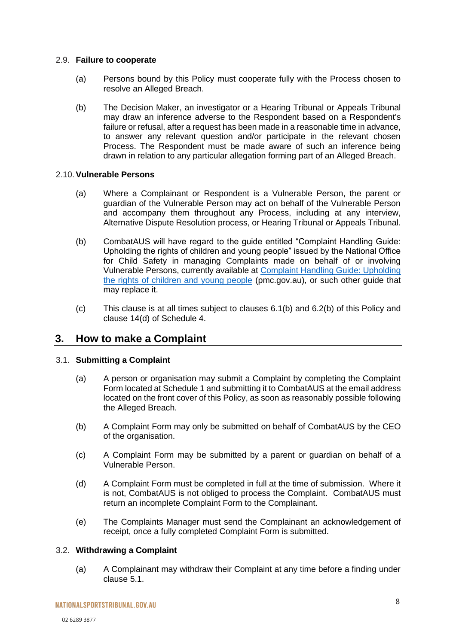#### 2.9. **Failure to cooperate**

- (a) Persons bound by this Policy must cooperate fully with the Process chosen to resolve an Alleged Breach.
- (b) The Decision Maker, an investigator or a Hearing Tribunal or Appeals Tribunal may draw an inference adverse to the Respondent based on a Respondent's failure or refusal, after a request has been made in a reasonable time in advance, to answer any relevant question and/or participate in the relevant chosen Process. The Respondent must be made aware of such an inference being drawn in relation to any particular allegation forming part of an Alleged Breach.

#### 2.10.**Vulnerable Persons**

- (a) Where a Complainant or Respondent is a Vulnerable Person, the parent or guardian of the Vulnerable Person may act on behalf of the Vulnerable Person and accompany them throughout any Process, including at any interview, Alternative Dispute Resolution process, or Hearing Tribunal or Appeals Tribunal.
- (b) CombatAUS will have regard to the guide entitled "Complaint Handling Guide: Upholding the rights of children and young people" issued by the National Office for Child Safety in managing Complaints made on behalf of or involving Vulnerable Persons, currently available at [Complaint Handling Guide: Upholding](https://childsafety.pmc.gov.au/sites/default/files/2020-09/nocs-complaint-handling-guide.pdf)  [the rights of children and young people](https://childsafety.pmc.gov.au/sites/default/files/2020-09/nocs-complaint-handling-guide.pdf) (pmc.gov.au), or such other guide that may replace it.
- (c) This clause is at all times subject to clauses [6.1](#page-17-1)[\(b\)](#page-17-2) and [6.2\(](#page-17-3)b) of this Policy and clause 14(d) of Schedule 4.

## <span id="page-7-0"></span>**3. How to make a Complaint**

#### <span id="page-7-1"></span>3.1. **Submitting a Complaint**

- (a) A person or organisation may submit a Complaint by completing the Complaint Form located at Schedule 1 and submitting it to CombatAUS at the email address located on the front cover of this Policy, as soon as reasonably possible following the Alleged Breach.
- (b) A Complaint Form may only be submitted on behalf of CombatAUS by the CEO of the organisation.
- (c) A Complaint Form may be submitted by a parent or guardian on behalf of a Vulnerable Person.
- (d) A Complaint Form must be completed in full at the time of submission. Where it is not, CombatAUS is not obliged to process the Complaint. CombatAUS must return an incomplete Complaint Form to the Complainant.
- (e) The Complaints Manager must send the Complainant an acknowledgement of receipt, once a fully completed Complaint Form is submitted.

#### 3.2. **Withdrawing a Complaint**

(a) A Complainant may withdraw their Complaint at any time before a finding under clause [5.1.](#page-11-1)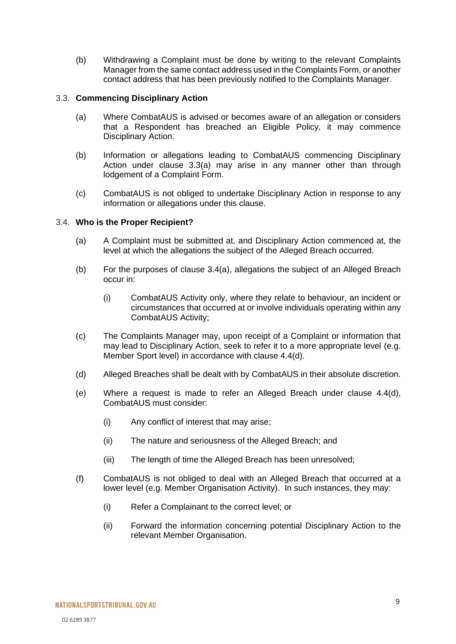(b) Withdrawing a Complaint must be done by writing to the relevant Complaints Manager from the same contact address used in the Complaints Form, or another contact address that has been previously notified to the Complaints Manager.

#### <span id="page-8-0"></span>3.3. **Commencing Disciplinary Action**

- (a) Where CombatAUS is advised or becomes aware of an allegation or considers that a Respondent has breached an Eligible Policy, it may commence Disciplinary Action.
- <span id="page-8-2"></span>(b) Information or allegations leading to CombatAUS commencing Disciplinary Action under clause [3.3\(](#page-8-0)a) may arise in any manner other than through lodgement of a Complaint Form.
- <span id="page-8-3"></span>(c) CombatAUS is not obliged to undertake Disciplinary Action in response to any information or allegations under this clause.

#### <span id="page-8-1"></span>3.4. **Who is the Proper Recipient?**

- (a) A Complaint must be submitted at, and Disciplinary Action commenced at, the level at which the allegations the subject of the Alleged Breach occurred.
- (b) For the purposes of clause [3.4\(](#page-8-1)a), allegations the subject of an Alleged Breach occur in:
	- (i) CombatAUS Activity only, where they relate to behaviour, an incident or circumstances that occurred at or involve individuals operating within any CombatAUS Activity;
- (c) The Complaints Manager may, upon receipt of a Complaint or information that may lead to Disciplinary Action, seek to refer it to a more appropriate level (e.g. Member Sport level) in accordance with clause [4.4\(](#page-10-1)d).
- (d) Alleged Breaches shall be dealt with by CombatAUS in their absolute discretion.
- (e) Where a request is made to refer an Alleged Breach under clause [4.4\(](#page-10-1)d), CombatAUS must consider:
	- (i) Any conflict of interest that may arise;
	- (ii) The nature and seriousness of the Alleged Breach; and
	- (iii) The length of time the Alleged Breach has been unresolved;
- (f) CombatAUS is not obliged to deal with an Alleged Breach that occurred at a lower level (e.g. Member Organisation Activity). In such instances, they may:
	- (i) Refer a Complainant to the correct level; or
	- (ii) Forward the information concerning potential Disciplinary Action to the relevant Member Organisation.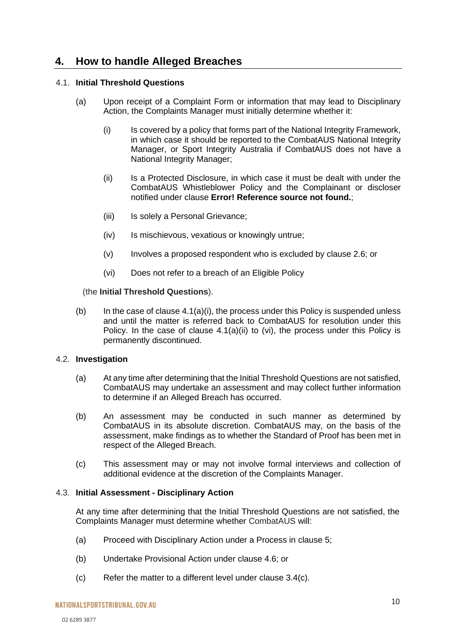## <span id="page-9-0"></span>**4. How to handle Alleged Breaches**

#### <span id="page-9-1"></span>4.1. **Initial Threshold Questions**

- (a) Upon receipt of a Complaint Form or information that may lead to Disciplinary Action, the Complaints Manager must initially determine whether it:
	- (i) Is covered by a policy that forms part of the National Integrity Framework, in which case it should be reported to the CombatAUS National Integrity Manager, or Sport Integrity Australia if CombatAUS does not have a National Integrity Manager;
	- (ii) Is a Protected Disclosure, in which case it must be dealt with under the CombatAUS Whistleblower Policy and the Complainant or discloser notified under clause **Error! Reference source not found.**;
	- (iii) Is solely a Personal Grievance;
	- (iv) Is mischievous, vexatious or knowingly untrue;
	- (v) Involves a proposed respondent who is excluded by clause [2.6;](#page-5-2) or
	- (vi) Does not refer to a breach of an Eligible Policy

#### (the **Initial Threshold Questions**).

(b) In the case of clause  $4.1(a)(i)$ , the process under this Policy is suspended unless and until the matter is referred back to CombatAUS for resolution under this Policy. In the case of clause [4.1\(](#page-9-1)a)(ii) to (vi), the process under this Policy is permanently discontinued.

#### <span id="page-9-2"></span>4.2. **Investigation**

- (a) At any time after determining that the Initial Threshold Questions are not satisfied, CombatAUS may undertake an assessment and may collect further information to determine if an Alleged Breach has occurred.
- (b) An assessment may be conducted in such manner as determined by CombatAUS in its absolute discretion. CombatAUS may, on the basis of the assessment, make findings as to whether the Standard of Proof has been met in respect of the Alleged Breach.
- (c) This assessment may or may not involve formal interviews and collection of additional evidence at the discretion of the Complaints Manager.

#### 4.3. **Initial Assessment - Disciplinary Action**

At any time after determining that the Initial Threshold Questions are not satisfied, the Complaints Manager must determine whether CombatAUS will:

- (a) Proceed with Disciplinary Action under a Process in clause [5;](#page-11-0)
- (b) Undertake Provisional Action under clause [4.6;](#page-10-0) or
- (c) Refer the matter to a different level under clause [3.4\(](#page-8-1)c).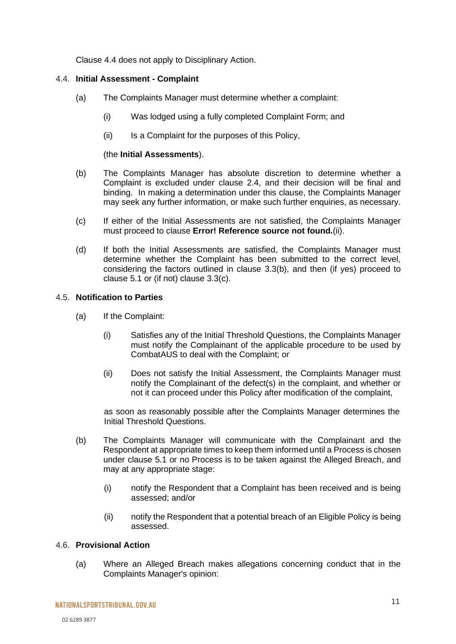Clause [4.4](#page-10-1) does not apply to Disciplinary Action.

#### <span id="page-10-1"></span>4.4. **Initial Assessment - Complaint**

- (a) The Complaints Manager must determine whether a complaint:
	- (i) Was lodged using a fully completed Complaint Form; and
	- (ii) Is a Complaint for the purposes of this Policy,

#### (the **Initial Assessments**).

- (b) The Complaints Manager has absolute discretion to determine whether a Complaint is excluded under clause [2.4,](#page-5-3) and their decision will be final and binding. In making a determination under this clause, the Complaints Manager may seek any further information, or make such further enquiries, as necessary.
- (c) If either of the Initial Assessments are not satisfied, the Complaints Manager must proceed to clause **Error! Reference source not found.**[\(ii\).](#page-10-2)
- (d) If both the Initial Assessments are satisfied, the Complaints Manager must determine whether the Complaint has been submitted to the correct level, considering the factors outlined in clause [3.3](#page-8-0)[\(b\),](#page-8-2) and then (if yes) proceed to clause [5.1](#page-11-1) or (if not) clause [3.3](#page-8-0)[\(c\).](#page-8-3)

#### 4.5. **Notification to Parties**

- <span id="page-10-2"></span>(a) If the Complaint:
	- (i) Satisfies any of the Initial Threshold Questions, the Complaints Manager must notify the Complainant of the applicable procedure to be used by CombatAUS to deal with the Complaint; or
	- (ii) Does not satisfy the Initial Assessment, the Complaints Manager must notify the Complainant of the defect(s) in the complaint, and whether or not it can proceed under this Policy after modification of the complaint,

as soon as reasonably possible after the Complaints Manager determines the Initial Threshold Questions.

- (b) The Complaints Manager will communicate with the Complainant and the Respondent at appropriate times to keep them informed until a Process is chosen under clause [5.1](#page-11-1) or no Process is to be taken against the Alleged Breach, and may at any appropriate stage:
	- (i) notify the Respondent that a Complaint has been received and is being assessed; and/or
	- (ii) notify the Respondent that a potential breach of an Eligible Policy is being assessed.

#### <span id="page-10-0"></span>4.6. **Provisional Action**

(a) Where an Alleged Breach makes allegations concerning conduct that in the Complaints Manager's opinion: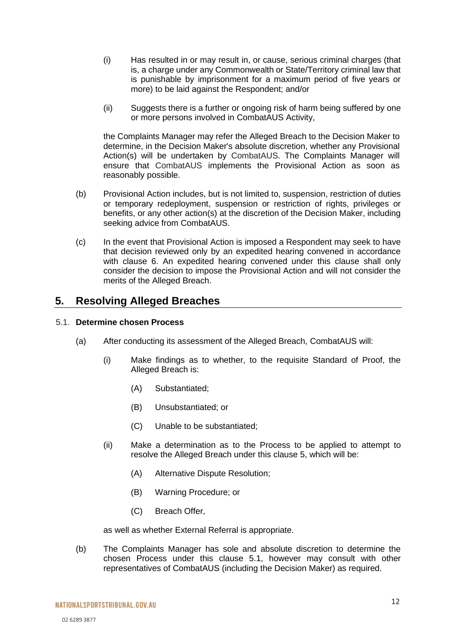- (i) Has resulted in or may result in, or cause, serious criminal charges (that is, a charge under any Commonwealth or State/Territory criminal law that is punishable by imprisonment for a maximum period of five years or more) to be laid against the Respondent; and/or
- (ii) Suggests there is a further or ongoing risk of harm being suffered by one or more persons involved in CombatAUS Activity,

the Complaints Manager may refer the Alleged Breach to the Decision Maker to determine, in the Decision Maker's absolute discretion, whether any Provisional Action(s) will be undertaken by CombatAUS. The Complaints Manager will ensure that CombatAUS implements the Provisional Action as soon as reasonably possible.

- (b) Provisional Action includes, but is not limited to, suspension, restriction of duties or temporary redeployment, suspension or restriction of rights, privileges or benefits, or any other action(s) at the discretion of the Decision Maker, including seeking advice from CombatAUS.
- (c) In the event that Provisional Action is imposed a Respondent may seek to have that decision reviewed only by an expedited hearing convened in accordance with clause 6. An expedited hearing convened under this clause shall only consider the decision to impose the Provisional Action and will not consider the merits of the Alleged Breach.

## <span id="page-11-0"></span>**5. Resolving Alleged Breaches**

#### <span id="page-11-1"></span>5.1. **Determine chosen Process**

- (a) After conducting its assessment of the Alleged Breach, CombatAUS will:
	- (i) Make findings as to whether, to the requisite Standard of Proof, the Alleged Breach is:
		- (A) Substantiated;
		- (B) Unsubstantiated; or
		- (C) Unable to be substantiated;
	- (ii) Make a determination as to the Process to be applied to attempt to resolve the Alleged Breach under this clause [5,](#page-11-0) which will be:
		- (A) Alternative Dispute Resolution;
		- (B) Warning Procedure; or
		- (C) Breach Offer,

as well as whether External Referral is appropriate.

(b) The Complaints Manager has sole and absolute discretion to determine the chosen Process under this clause [5.1,](#page-11-1) however may consult with other representatives of CombatAUS (including the Decision Maker) as required.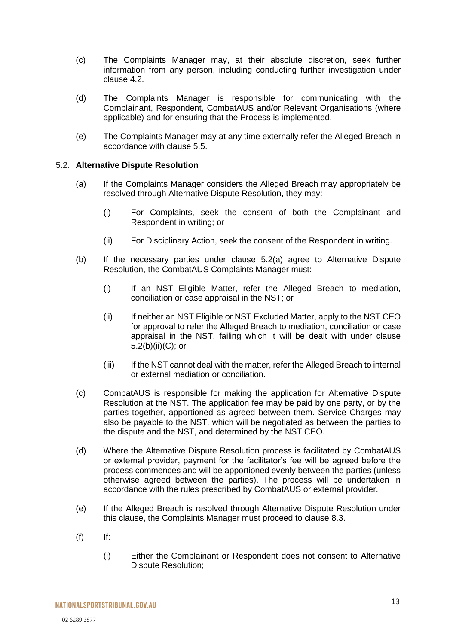- (c) The Complaints Manager may, at their absolute discretion, seek further information from any person, including conducting further investigation under clause [4.2.](#page-9-2)
- (d) The Complaints Manager is responsible for communicating with the Complainant, Respondent, CombatAUS and/or Relevant Organisations (where applicable) and for ensuring that the Process is implemented.
- (e) The Complaints Manager may at any time externally refer the Alleged Breach in accordance with clause [5.5.](#page-15-0)

#### <span id="page-12-1"></span><span id="page-12-0"></span>5.2. **Alternative Dispute Resolution**

- (a) If the Complaints Manager considers the Alleged Breach may appropriately be resolved through Alternative Dispute Resolution, they may:
	- (i) For Complaints, seek the consent of both the Complainant and Respondent in writing; or
	- (ii) For Disciplinary Action, seek the consent of the Respondent in writing.
- <span id="page-12-2"></span>(b) If the necessary parties under clause [5.2](#page-12-0)[\(a\)](#page-12-1) agree to Alternative Dispute Resolution, the CombatAUS Complaints Manager must:
	- (i) If an NST Eligible Matter, refer the Alleged Breach to mediation, conciliation or case appraisal in the NST; or
	- (ii) If neither an NST Eligible or NST Excluded Matter, apply to the NST CEO for approval to refer the Alleged Breach to mediation, conciliation or case appraisal in the NST, failing which it will be dealt with under clause [5.2\(](#page-12-0)b)(ii)(C); or
	- (iii) If the NST cannot deal with the matter, refer the Alleged Breach to internal or external mediation or conciliation.
- (c) CombatAUS is responsible for making the application for Alternative Dispute Resolution at the NST. The application fee may be paid by one party, or by the parties together, apportioned as agreed between them. Service Charges may also be payable to the NST, which will be negotiated as between the parties to the dispute and the NST, and determined by the NST CEO.
- (d) Where the Alternative Dispute Resolution process is facilitated by CombatAUS or external provider, payment for the facilitator's fee will be agreed before the process commences and will be apportioned evenly between the parties (unless otherwise agreed between the parties). The process will be undertaken in accordance with the rules prescribed by CombatAUS or external provider.
- (e) If the Alleged Breach is resolved through Alternative Dispute Resolution under this clause, the Complaints Manager must proceed to clause [8.3.](#page-21-1)
- $(f)$  If:
	- (i) Either the Complainant or Respondent does not consent to Alternative Dispute Resolution;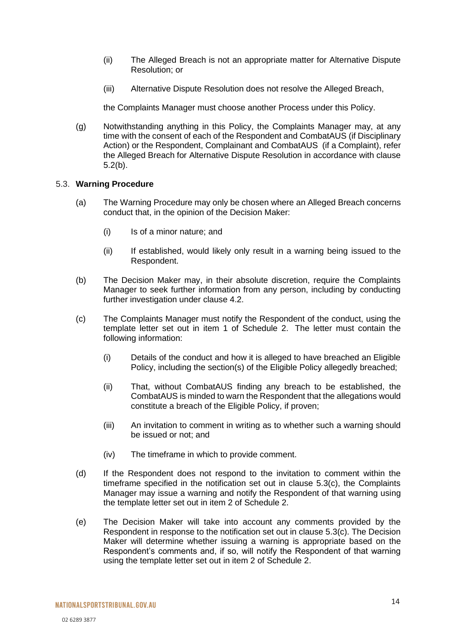- (ii) The Alleged Breach is not an appropriate matter for Alternative Dispute Resolution; or
- (iii) Alternative Dispute Resolution does not resolve the Alleged Breach,

the Complaints Manager must choose another Process under this Policy.

(g) Notwithstanding anything in this Policy, the Complaints Manager may, at any time with the consent of each of the Respondent and CombatAUS (if Disciplinary Action) or the Respondent, Complainant and CombatAUS (if a Complaint), refer the Alleged Breach for Alternative Dispute Resolution in accordance with clause [5.2](#page-12-0)[\(b\).](#page-12-2)

#### <span id="page-13-0"></span>5.3. **Warning Procedure**

- (a) The Warning Procedure may only be chosen where an Alleged Breach concerns conduct that, in the opinion of the Decision Maker:
	- (i) Is of a minor nature; and
	- (ii) If established, would likely only result in a warning being issued to the Respondent.
- (b) The Decision Maker may, in their absolute discretion, require the Complaints Manager to seek further information from any person, including by conducting further investigation under clause [4.2.](#page-9-2)
- (c) The Complaints Manager must notify the Respondent of the conduct, using the template letter set out in item 1 of Schedule 2. The letter must contain the following information:
	- (i) Details of the conduct and how it is alleged to have breached an Eligible Policy, including the section(s) of the Eligible Policy allegedly breached;
	- (ii) That, without CombatAUS finding any breach to be established, the CombatAUS is minded to warn the Respondent that the allegations would constitute a breach of the Eligible Policy, if proven;
	- (iii) An invitation to comment in writing as to whether such a warning should be issued or not; and
	- (iv) The timeframe in which to provide comment.
- (d) If the Respondent does not respond to the invitation to comment within the timeframe specified in the notification set out in clause 5.3(c), the Complaints Manager may issue a warning and notify the Respondent of that warning using the template letter set out in item 2 of Schedule 2.
- (e) The Decision Maker will take into account any comments provided by the Respondent in response to the notification set out in clause 5.3(c). The Decision Maker will determine whether issuing a warning is appropriate based on the Respondent's comments and, if so, will notify the Respondent of that warning using the template letter set out in item 2 of Schedule 2.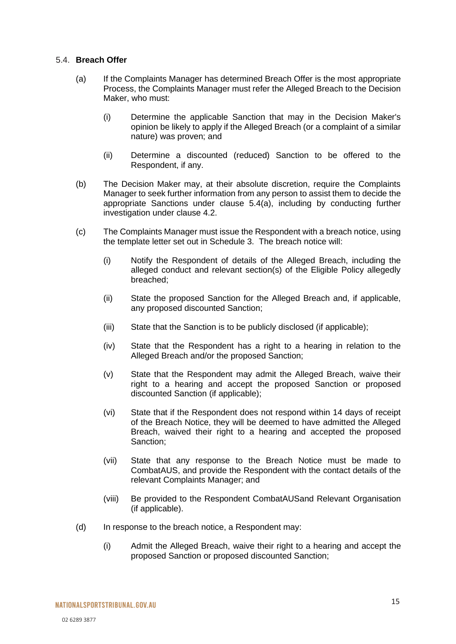#### <span id="page-14-1"></span><span id="page-14-0"></span>5.4. **Breach Offer**

- (a) If the Complaints Manager has determined Breach Offer is the most appropriate Process, the Complaints Manager must refer the Alleged Breach to the Decision Maker, who must:
	- (i) Determine the applicable Sanction that may in the Decision Maker's opinion be likely to apply if the Alleged Breach (or a complaint of a similar nature) was proven; and
	- (ii) Determine a discounted (reduced) Sanction to be offered to the Respondent, if any.
- (b) The Decision Maker may, at their absolute discretion, require the Complaints Manager to seek further information from any person to assist them to decide the appropriate Sanctions under clause [5.4](#page-14-0)[\(a\),](#page-14-1) including by conducting further investigation under clause [4.2.](#page-9-2)
- (c) The Complaints Manager must issue the Respondent with a breach notice, using the template letter set out in Schedule 3. The breach notice will:
	- (i) Notify the Respondent of details of the Alleged Breach, including the alleged conduct and relevant section(s) of the Eligible Policy allegedly breached;
	- (ii) State the proposed Sanction for the Alleged Breach and, if applicable, any proposed discounted Sanction;
	- (iii) State that the Sanction is to be publicly disclosed (if applicable);
	- (iv) State that the Respondent has a right to a hearing in relation to the Alleged Breach and/or the proposed Sanction;
	- (v) State that the Respondent may admit the Alleged Breach, waive their right to a hearing and accept the proposed Sanction or proposed discounted Sanction (if applicable);
	- (vi) State that if the Respondent does not respond within 14 days of receipt of the Breach Notice, they will be deemed to have admitted the Alleged Breach, waived their right to a hearing and accepted the proposed Sanction;
	- (vii) State that any response to the Breach Notice must be made to CombatAUS, and provide the Respondent with the contact details of the relevant Complaints Manager; and
	- (viii) Be provided to the Respondent CombatAUSand Relevant Organisation (if applicable).
- (d) In response to the breach notice, a Respondent may:
	- (i) Admit the Alleged Breach, waive their right to a hearing and accept the proposed Sanction or proposed discounted Sanction;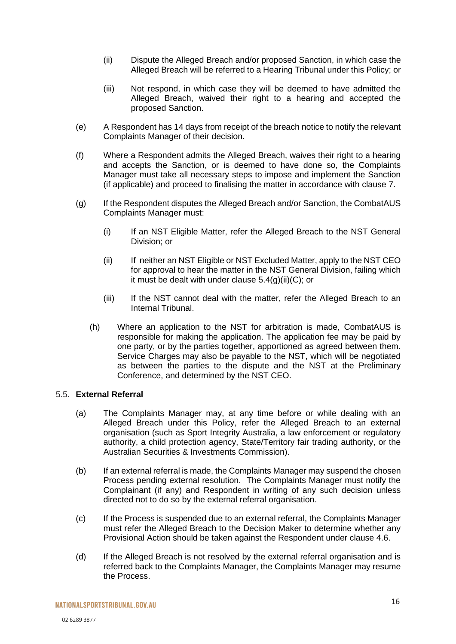- (ii) Dispute the Alleged Breach and/or proposed Sanction, in which case the Alleged Breach will be referred to a Hearing Tribunal under this Policy; or
- (iii) Not respond, in which case they will be deemed to have admitted the Alleged Breach, waived their right to a hearing and accepted the proposed Sanction.
- (e) A Respondent has 14 days from receipt of the breach notice to notify the relevant Complaints Manager of their decision.
- (f) Where a Respondent admits the Alleged Breach, waives their right to a hearing and accepts the Sanction, or is deemed to have done so, the Complaints Manager must take all necessary steps to impose and implement the Sanction (if applicable) and proceed to finalising the matter in accordance with clause [7.](#page-18-0)
- (g) If the Respondent disputes the Alleged Breach and/or Sanction, the CombatAUS Complaints Manager must:
	- (i) If an NST Eligible Matter, refer the Alleged Breach to the NST General Division; or
	- (ii) If neither an NST Eligible or NST Excluded Matter, apply to the NST CEO for approval to hear the matter in the NST General Division, failing which it must be dealt with under clause  $5.4(g)(ii)(C)$ ; or
	- (iii) If the NST cannot deal with the matter, refer the Alleged Breach to an Internal Tribunal.
	- (h) Where an application to the NST for arbitration is made, CombatAUS is responsible for making the application. The application fee may be paid by one party, or by the parties together, apportioned as agreed between them. Service Charges may also be payable to the NST, which will be negotiated as between the parties to the dispute and the NST at the Preliminary Conference, and determined by the NST CEO.

#### <span id="page-15-0"></span>5.5. **External Referral**

- (a) The Complaints Manager may, at any time before or while dealing with an Alleged Breach under this Policy, refer the Alleged Breach to an external organisation (such as Sport Integrity Australia, a law enforcement or regulatory authority, a child protection agency, State/Territory fair trading authority, or the Australian Securities & Investments Commission).
- (b) If an external referral is made, the Complaints Manager may suspend the chosen Process pending external resolution. The Complaints Manager must notify the Complainant (if any) and Respondent in writing of any such decision unless directed not to do so by the external referral organisation.
- (c) If the Process is suspended due to an external referral, the Complaints Manager must refer the Alleged Breach to the Decision Maker to determine whether any Provisional Action should be taken against the Respondent under clause [4.6.](#page-10-0)
- (d) If the Alleged Breach is not resolved by the external referral organisation and is referred back to the Complaints Manager, the Complaints Manager may resume the Process.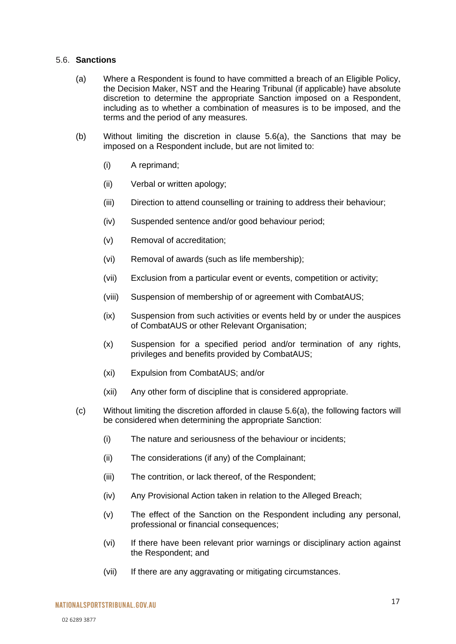#### <span id="page-16-0"></span>5.6. **Sanctions**

- (a) Where a Respondent is found to have committed a breach of an Eligible Policy, the Decision Maker, NST and the Hearing Tribunal (if applicable) have absolute discretion to determine the appropriate Sanction imposed on a Respondent, including as to whether a combination of measures is to be imposed, and the terms and the period of any measures.
- (b) Without limiting the discretion in clause [5.6\(](#page-16-0)a), the Sanctions that may be imposed on a Respondent include, but are not limited to:
	- (i) A reprimand;
	- (ii) Verbal or written apology;
	- (iii) Direction to attend counselling or training to address their behaviour;
	- (iv) Suspended sentence and/or good behaviour period;
	- (v) Removal of accreditation;
	- (vi) Removal of awards (such as life membership);
	- (vii) Exclusion from a particular event or events, competition or activity;
	- (viii) Suspension of membership of or agreement with CombatAUS;
	- (ix) Suspension from such activities or events held by or under the auspices of CombatAUS or other Relevant Organisation;
	- (x) Suspension for a specified period and/or termination of any rights, privileges and benefits provided by CombatAUS;
	- (xi) Expulsion from CombatAUS; and/or
	- (xii) Any other form of discipline that is considered appropriate.
- (c) Without limiting the discretion afforded in clause [5.6\(](#page-16-0)a), the following factors will be considered when determining the appropriate Sanction:
	- (i) The nature and seriousness of the behaviour or incidents;
	- (ii) The considerations (if any) of the Complainant;
	- (iii) The contrition, or lack thereof, of the Respondent;
	- (iv) Any Provisional Action taken in relation to the Alleged Breach;
	- (v) The effect of the Sanction on the Respondent including any personal, professional or financial consequences;
	- (vi) If there have been relevant prior warnings or disciplinary action against the Respondent; and
	- (vii) If there are any aggravating or mitigating circumstances.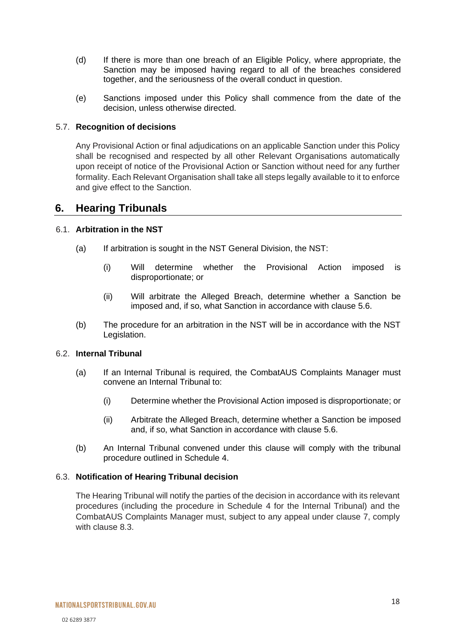- (d) If there is more than one breach of an Eligible Policy, where appropriate, the Sanction may be imposed having regard to all of the breaches considered together, and the seriousness of the overall conduct in question.
- (e) Sanctions imposed under this Policy shall commence from the date of the decision, unless otherwise directed.

#### 5.7. **Recognition of decisions**

Any Provisional Action or final adjudications on an applicable Sanction under this Policy shall be recognised and respected by all other Relevant Organisations automatically upon receipt of notice of the Provisional Action or Sanction without need for any further formality. Each Relevant Organisation shall take all steps legally available to it to enforce and give effect to the Sanction.

## <span id="page-17-0"></span>**6. Hearing Tribunals**

#### <span id="page-17-1"></span>6.1. **Arbitration in the NST**

- (a) If arbitration is sought in the NST General Division, the NST:
	- (i) Will determine whether the Provisional Action imposed is disproportionate; or
	- (ii) Will arbitrate the Alleged Breach, determine whether a Sanction be imposed and, if so, what Sanction in accordance with clause [5.6.](#page-16-0)
- <span id="page-17-2"></span>(b) The procedure for an arbitration in the NST will be in accordance with the NST Legislation.

#### <span id="page-17-3"></span>6.2. **Internal Tribunal**

- (a) If an Internal Tribunal is required, the CombatAUS Complaints Manager must convene an Internal Tribunal to:
	- (i) Determine whether the Provisional Action imposed is disproportionate; or
	- (ii) Arbitrate the Alleged Breach, determine whether a Sanction be imposed and, if so, what Sanction in accordance with clause [5.6.](#page-16-0)
- (b) An Internal Tribunal convened under this clause will comply with the tribunal procedure outlined in Schedule 4.

#### 6.3. **Notification of Hearing Tribunal decision**

The Hearing Tribunal will notify the parties of the decision in accordance with its relevant procedures (including the procedure in Schedule 4 for the Internal Tribunal) and the CombatAUS Complaints Manager must, subject to any appeal under clause 7, comply with clause 8.3.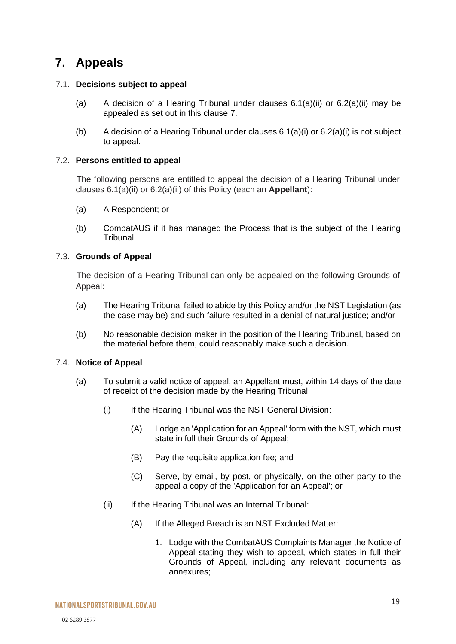# <span id="page-18-0"></span>**7. Appeals**

#### 7.1. **Decisions subject to appeal**

- (a) A decision of a Hearing Tribunal under clauses  $6.1(a)(ii)$  or  $6.2(a)(ii)$  may be appealed as set out in this clause 7.
- (b) A decision of a Hearing Tribunal under clauses  $6.1(a)(i)$  or  $6.2(a)(i)$  is not subject to appeal.

#### 7.2. **Persons entitled to appeal**

The following persons are entitled to appeal the decision of a Hearing Tribunal under clauses [6.1\(](#page-17-1)a)(ii) or [6.2\(](#page-17-3)a)(ii) of this Policy (each an **Appellant**):

- (a) A Respondent; or
- (b) CombatAUS if it has managed the Process that is the subject of the Hearing Tribunal.

#### <span id="page-18-2"></span>7.3. **Grounds of Appeal**

The decision of a Hearing Tribunal can only be appealed on the following Grounds of Appeal:

- (a) The Hearing Tribunal failed to abide by this Policy and/or the NST Legislation (as the case may be) and such failure resulted in a denial of natural justice; and/or
- (b) No reasonable decision maker in the position of the Hearing Tribunal, based on the material before them, could reasonably make such a decision.

#### <span id="page-18-1"></span>7.4. **Notice of Appeal**

- (a) To submit a valid notice of appeal, an Appellant must, within 14 days of the date of receipt of the decision made by the Hearing Tribunal:
	- (i) If the Hearing Tribunal was the NST General Division:
		- (A) Lodge an 'Application for an Appeal' form with the NST, which must state in full their Grounds of Appeal;
		- (B) Pay the requisite application fee; and
		- (C) Serve, by email, by post, or physically, on the other party to the appeal a copy of the 'Application for an Appeal'; or
	- (ii) If the Hearing Tribunal was an Internal Tribunal:
		- (A) If the Alleged Breach is an NST Excluded Matter:
			- 1. Lodge with the CombatAUS Complaints Manager the Notice of Appeal stating they wish to appeal, which states in full their Grounds of Appeal, including any relevant documents as annexures;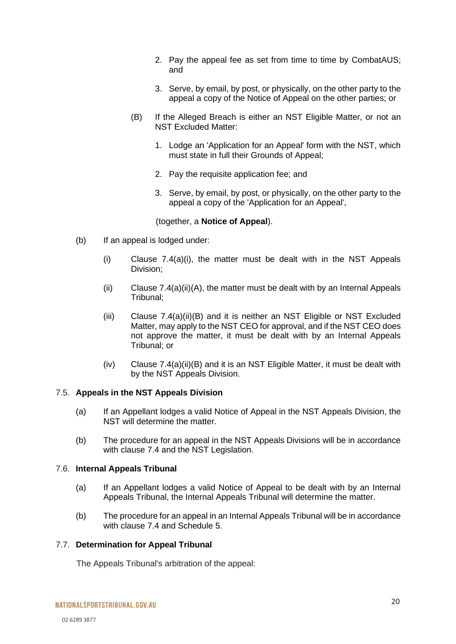- 2. Pay the appeal fee as set from time to time by CombatAUS; and
- 3. Serve, by email, by post, or physically, on the other party to the appeal a copy of the Notice of Appeal on the other parties; or
- (B) If the Alleged Breach is either an NST Eligible Matter, or not an NST Excluded Matter:
	- 1. Lodge an 'Application for an Appeal' form with the NST, which must state in full their Grounds of Appeal;
	- 2. Pay the requisite application fee; and
	- 3. Serve, by email, by post, or physically, on the other party to the appeal a copy of the 'Application for an Appeal',

(together, a **Notice of Appeal**).

- (b) If an appeal is lodged under:
	- $(i)$  Clause [7.4\(](#page-18-1)a) $(i)$ , the matter must be dealt with in the NST Appeals Division;
	- (ii) Clause  $7.4(a)(ii)(A)$ , the matter must be dealt with by an Internal Appeals Tribunal;
	- (iii) Clause [7.4\(](#page-18-1)a)(ii)(B) and it is neither an NST Eligible or NST Excluded Matter, may apply to the NST CEO for approval, and if the NST CEO does not approve the matter, it must be dealt with by an Internal Appeals Tribunal; or
	- (iv) Clause [7.4\(](#page-18-1)a)(ii)(B) and it is an NST Eligible Matter, it must be dealt with by the NST Appeals Division.

#### 7.5. **Appeals in the NST Appeals Division**

- (a) If an Appellant lodges a valid Notice of Appeal in the NST Appeals Division, the NST will determine the matter.
- (b) The procedure for an appeal in the NST Appeals Divisions will be in accordance with clause [7.4](#page-18-1) and the NST Legislation.

#### <span id="page-19-1"></span>7.6. **Internal Appeals Tribunal**

- (a) If an Appellant lodges a valid Notice of Appeal to be dealt with by an Internal Appeals Tribunal, the Internal Appeals Tribunal will determine the matter.
- (b) The procedure for an appeal in an Internal Appeals Tribunal will be in accordance with clause [7.4](#page-18-1) and Schedule 5.

#### <span id="page-19-0"></span>7.7. **Determination for Appeal Tribunal**

The Appeals Tribunal's arbitration of the appeal: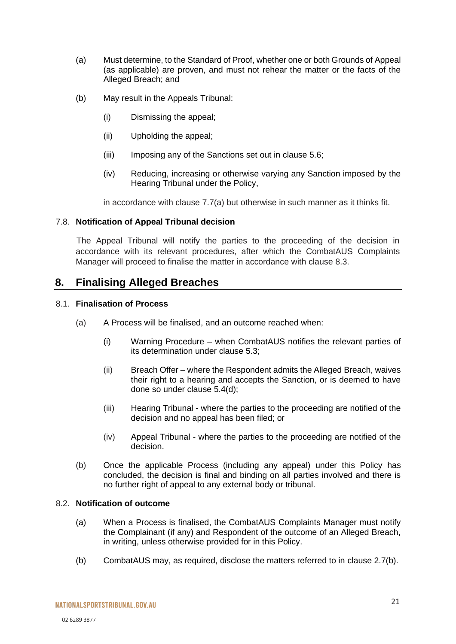- (a) Must determine, to the Standard of Proof, whether one or both Grounds of Appeal (as applicable) are proven, and must not rehear the matter or the facts of the Alleged Breach; and
- (b) May result in the Appeals Tribunal:
	- (i) Dismissing the appeal;
	- (ii) Upholding the appeal;
	- (iii) Imposing any of the Sanctions set out in clause [5.6;](#page-16-0)
	- (iv) Reducing, increasing or otherwise varying any Sanction imposed by the Hearing Tribunal under the Policy,

in accordance with clause [7.7\(](#page-19-0)a) but otherwise in such manner as it thinks fit.

#### 7.8. **Notification of Appeal Tribunal decision**

The Appeal Tribunal will notify the parties to the proceeding of the decision in accordance with its relevant procedures, after which the CombatAUS Complaints Manager will proceed to finalise the matter in accordance with clause [8.3.](#page-21-1)

## <span id="page-20-0"></span>**8. Finalising Alleged Breaches**

#### 8.1. **Finalisation of Process**

- (a) A Process will be finalised, and an outcome reached when:
	- (i) Warning Procedure when CombatAUS notifies the relevant parties of its determination under clause [5.3;](#page-13-0)
	- (ii) Breach Offer where the Respondent admits the Alleged Breach, waives their right to a hearing and accepts the Sanction, or is deemed to have done so under clause [5.4\(](#page-14-0)d);
	- (iii) Hearing Tribunal where the parties to the proceeding are notified of the decision and no appeal has been filed; or
	- (iv) Appeal Tribunal where the parties to the proceeding are notified of the decision.
- (b) Once the applicable Process (including any appeal) under this Policy has concluded, the decision is final and binding on all parties involved and there is no further right of appeal to any external body or tribunal.

#### 8.2. **Notification of outcome**

- (a) When a Process is finalised, the CombatAUS Complaints Manager must notify the Complainant (if any) and Respondent of the outcome of an Alleged Breach, in writing, unless otherwise provided for in this Policy.
- (b) CombatAUS may, as required, disclose the matters referred to in clause [2.7\(](#page-6-0)b).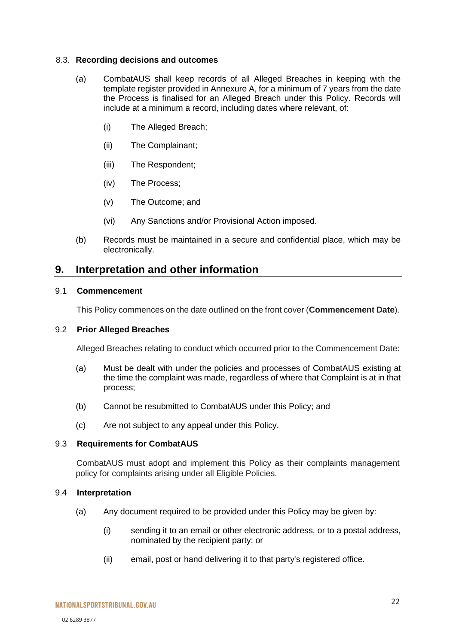#### <span id="page-21-1"></span>8.3. **Recording decisions and outcomes**

- (a) CombatAUS shall keep records of all Alleged Breaches in keeping with the template register provided in Annexure A, for a minimum of 7 years from the date the Process is finalised for an Alleged Breach under this Policy. Records will include at a minimum a record, including dates where relevant, of:
	- (i) The Alleged Breach;
	- (ii) The Complainant;
	- (iii) The Respondent;
	- (iv) The Process;
	- (v) The Outcome; and
	- (vi) Any Sanctions and/or Provisional Action imposed.
- (b) Records must be maintained in a secure and confidential place, which may be electronically.

## <span id="page-21-0"></span>**9. Interpretation and other information**

#### 9.1 **Commencement**

This Policy commences on the date outlined on the front cover (**Commencement Date**).

#### 9.2 **Prior Alleged Breaches**

Alleged Breaches relating to conduct which occurred prior to the Commencement Date:

- (a) Must be dealt with under the policies and processes of CombatAUS existing at the time the complaint was made, regardless of where that Complaint is at in that process;
- (b) Cannot be resubmitted to CombatAUS under this Policy; and
- (c) Are not subject to any appeal under this Policy.

#### 9.3 **Requirements for CombatAUS**

CombatAUS must adopt and implement this Policy as their complaints management policy for complaints arising under all Eligible Policies.

#### 9.4 **Interpretation**

- (a) Any document required to be provided under this Policy may be given by:
	- (i) sending it to an email or other electronic address, or to a postal address, nominated by the recipient party; or
	- (ii) email, post or hand delivering it to that party's registered office.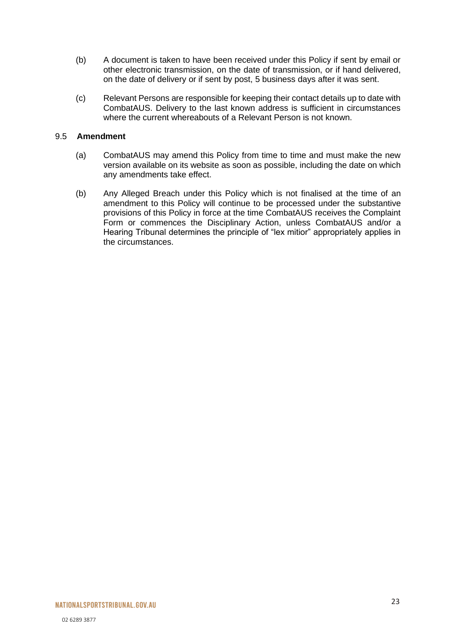- (b) A document is taken to have been received under this Policy if sent by email or other electronic transmission, on the date of transmission, or if hand delivered, on the date of delivery or if sent by post, 5 business days after it was sent.
- (c) Relevant Persons are responsible for keeping their contact details up to date with CombatAUS. Delivery to the last known address is sufficient in circumstances where the current whereabouts of a Relevant Person is not known.

#### 9.5 **Amendment**

- (a) CombatAUS may amend this Policy from time to time and must make the new version available on its website as soon as possible, including the date on which any amendments take effect.
- (b) Any Alleged Breach under this Policy which is not finalised at the time of an amendment to this Policy will continue to be processed under the substantive provisions of this Policy in force at the time CombatAUS receives the Complaint Form or commences the Disciplinary Action, unless CombatAUS and/or a Hearing Tribunal determines the principle of "lex mitior" appropriately applies in the circumstances.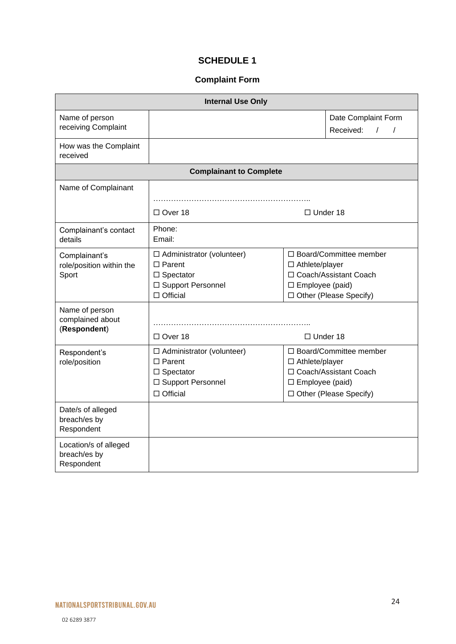## **SCHEDULE 1**

## **Complaint Form**

<span id="page-23-0"></span>

| <b>Internal Use Only</b>                            |                                                                                                                    |                                                                                                                                  |  |  |
|-----------------------------------------------------|--------------------------------------------------------------------------------------------------------------------|----------------------------------------------------------------------------------------------------------------------------------|--|--|
| Name of person<br>receiving Complaint               |                                                                                                                    | Date Complaint Form<br>Received:<br>$\sqrt{1}$                                                                                   |  |  |
| How was the Complaint<br>received                   |                                                                                                                    |                                                                                                                                  |  |  |
|                                                     | <b>Complainant to Complete</b>                                                                                     |                                                                                                                                  |  |  |
| Name of Complainant                                 | $\Box$ Over 18<br>$\Box$ Under 18                                                                                  |                                                                                                                                  |  |  |
| Complainant's contact<br>details                    | Phone:<br>Email:                                                                                                   |                                                                                                                                  |  |  |
| Complainant's<br>role/position within the<br>Sport  | $\Box$ Administrator (volunteer)<br>$\Box$ Parent<br>$\square$ Spectator<br>□ Support Personnel<br>$\Box$ Official | □ Board/Committee member<br>□ Athlete/player<br>□ Coach/Assistant Coach<br>$\square$ Employee (paid)<br>□ Other (Please Specify) |  |  |
| Name of person<br>complained about<br>(Respondent)  | □ Over 18                                                                                                          | $\Box$ Under 18                                                                                                                  |  |  |
| Respondent's<br>role/position                       | □ Administrator (volunteer)<br>$\Box$ Parent<br>$\Box$ Spectator<br>□ Support Personnel<br>$\Box$ Official         | □ Board/Committee member<br>□ Athlete/player<br>□ Coach/Assistant Coach<br>$\square$ Employee (paid)<br>□ Other (Please Specify) |  |  |
| Date/s of alleged<br>breach/es by<br>Respondent     |                                                                                                                    |                                                                                                                                  |  |  |
| Location/s of alleged<br>breach/es by<br>Respondent |                                                                                                                    |                                                                                                                                  |  |  |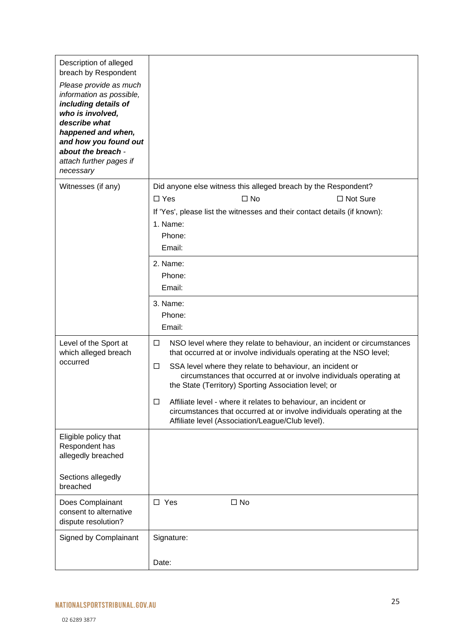| Description of alleged<br>breach by Respondent                                                                                                                                                                               |                                                                                                                                                                                                    |
|------------------------------------------------------------------------------------------------------------------------------------------------------------------------------------------------------------------------------|----------------------------------------------------------------------------------------------------------------------------------------------------------------------------------------------------|
| Please provide as much<br>information as possible,<br>including details of<br>who is involved,<br>describe what<br>happened and when,<br>and how you found out<br>about the breach -<br>attach further pages if<br>necessary |                                                                                                                                                                                                    |
| Witnesses (if any)                                                                                                                                                                                                           | Did anyone else witness this alleged breach by the Respondent?                                                                                                                                     |
|                                                                                                                                                                                                                              | $\Box$ Yes<br>$\square$ No<br>$\Box$ Not Sure                                                                                                                                                      |
|                                                                                                                                                                                                                              | If 'Yes', please list the witnesses and their contact details (if known):                                                                                                                          |
|                                                                                                                                                                                                                              | 1. Name:                                                                                                                                                                                           |
|                                                                                                                                                                                                                              | Phone:                                                                                                                                                                                             |
|                                                                                                                                                                                                                              | Email:                                                                                                                                                                                             |
|                                                                                                                                                                                                                              | 2. Name:                                                                                                                                                                                           |
|                                                                                                                                                                                                                              | Phone:<br>Email:                                                                                                                                                                                   |
|                                                                                                                                                                                                                              |                                                                                                                                                                                                    |
|                                                                                                                                                                                                                              | 3. Name:                                                                                                                                                                                           |
|                                                                                                                                                                                                                              | Phone:<br>Email:                                                                                                                                                                                   |
|                                                                                                                                                                                                                              |                                                                                                                                                                                                    |
| Level of the Sport at<br>which alleged breach                                                                                                                                                                                | NSO level where they relate to behaviour, an incident or circumstances<br>□<br>that occurred at or involve individuals operating at the NSO level;                                                 |
| occurred                                                                                                                                                                                                                     | SSA level where they relate to behaviour, an incident or<br>□<br>circumstances that occurred at or involve individuals operating at<br>the State (Territory) Sporting Association level; or        |
|                                                                                                                                                                                                                              | Affiliate level - where it relates to behaviour, an incident or<br>□<br>circumstances that occurred at or involve individuals operating at the<br>Affiliate level (Association/League/Club level). |
| Eligible policy that<br>Respondent has<br>allegedly breached                                                                                                                                                                 |                                                                                                                                                                                                    |
| Sections allegedly<br>breached                                                                                                                                                                                               |                                                                                                                                                                                                    |
| Does Complainant<br>consent to alternative<br>dispute resolution?                                                                                                                                                            | $\square$ Yes<br>$\square$ No                                                                                                                                                                      |
| Signed by Complainant                                                                                                                                                                                                        | Signature:                                                                                                                                                                                         |
|                                                                                                                                                                                                                              |                                                                                                                                                                                                    |
|                                                                                                                                                                                                                              | Date:                                                                                                                                                                                              |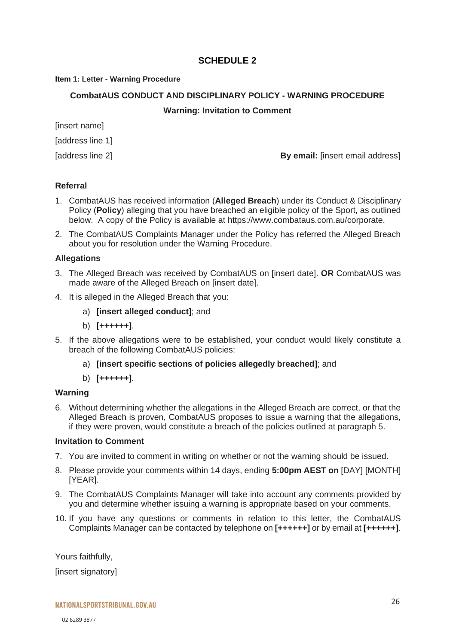## **SCHEDULE 2**

#### <span id="page-25-0"></span>**Item 1: Letter - Warning Procedure**

#### **CombatAUS CONDUCT AND DISCIPLINARY POLICY - WARNING PROCEDURE**

#### **Warning: Invitation to Comment**

[insert name]

[address line 1]

[address line 2] **By email:** [insert email address]

#### **Referral**

- 1. CombatAUS has received information (**Alleged Breach**) under its Conduct & Disciplinary Policy (**Policy**) alleging that you have breached an eligible policy of the Sport, as outlined below. A copy of the Policy is available at https://www.combataus.com.au/corporate.
- 2. The CombatAUS Complaints Manager under the Policy has referred the Alleged Breach about you for resolution under the Warning Procedure.

#### **Allegations**

- 3. The Alleged Breach was received by CombatAUS on [insert date]. **OR** CombatAUS was made aware of the Alleged Breach on [insert date].
- 4. It is alleged in the Alleged Breach that you:
	- a) **[insert alleged conduct]**; and
	- b) **[++++++]**.
- 5. If the above allegations were to be established, your conduct would likely constitute a breach of the following CombatAUS policies:
	- a) **[insert specific sections of policies allegedly breached]**; and
	- b) **[++++++]**.

#### **Warning**

6. Without determining whether the allegations in the Alleged Breach are correct, or that the Alleged Breach is proven, CombatAUS proposes to issue a warning that the allegations, if they were proven, would constitute a breach of the policies outlined at paragraph 5.

#### **Invitation to Comment**

- 7. You are invited to comment in writing on whether or not the warning should be issued.
- 8. Please provide your comments within 14 days, ending **5:00pm AEST on** [DAY] [MONTH] [YEAR].
- 9. The CombatAUS Complaints Manager will take into account any comments provided by you and determine whether issuing a warning is appropriate based on your comments.
- 10. If you have any questions or comments in relation to this letter, the CombatAUS Complaints Manager can be contacted by telephone on **[++++++]** or by email at **[++++++]**.

Yours faithfully,

[insert signatory]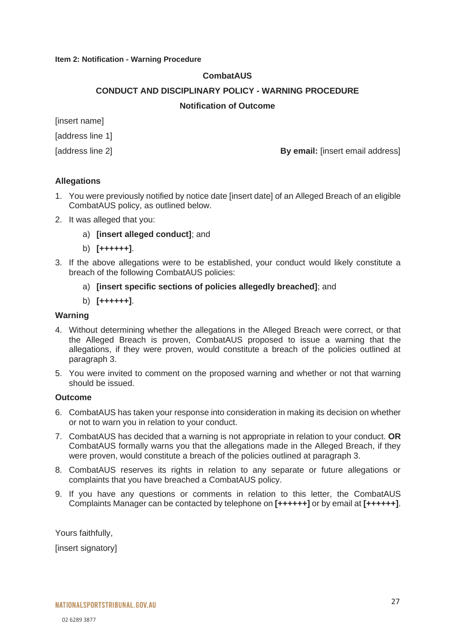#### **Item 2: Notification - Warning Procedure**

#### **CombatAUS**

#### **CONDUCT AND DISCIPLINARY POLICY - WARNING PROCEDURE**

#### **Notification of Outcome**

[insert name]

[address line 1]

[address line 2] **By email:** [insert email address]

#### **Allegations**

- 1. You were previously notified by notice date [insert date] of an Alleged Breach of an eligible CombatAUS policy, as outlined below.
- 2. It was alleged that you:
	- a) **[insert alleged conduct]**; and
	- b) **[++++++]**.
- 3. If the above allegations were to be established, your conduct would likely constitute a breach of the following CombatAUS policies:
	- a) **[insert specific sections of policies allegedly breached]**; and
	- b) **[++++++]**.

#### **Warning**

- 4. Without determining whether the allegations in the Alleged Breach were correct, or that the Alleged Breach is proven, CombatAUS proposed to issue a warning that the allegations, if they were proven, would constitute a breach of the policies outlined at paragraph 3.
- 5. You were invited to comment on the proposed warning and whether or not that warning should be issued.

#### **Outcome**

- 6. CombatAUS has taken your response into consideration in making its decision on whether or not to warn you in relation to your conduct.
- 7. CombatAUS has decided that a warning is not appropriate in relation to your conduct. **OR** CombatAUS formally warns you that the allegations made in the Alleged Breach, if they were proven, would constitute a breach of the policies outlined at paragraph 3.
- 8. CombatAUS reserves its rights in relation to any separate or future allegations or complaints that you have breached a CombatAUS policy.
- 9. If you have any questions or comments in relation to this letter, the CombatAUS Complaints Manager can be contacted by telephone on **[++++++]** or by email at **[++++++]**.

Yours faithfully,

[insert signatory]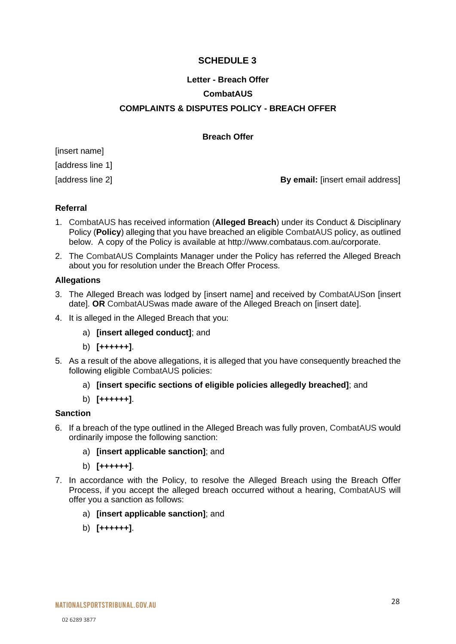## **SCHEDULE 3**

# <span id="page-27-0"></span>**Letter - Breach Offer CombatAUS COMPLAINTS & DISPUTES POLICY - BREACH OFFER**

#### **Breach Offer**

[insert name] [address line 1]

[address line 2] **By email:** [insert email address]

#### **Referral**

- 1. CombatAUS has received information (**Alleged Breach**) under its Conduct & Disciplinary Policy (**Policy**) alleging that you have breached an eligible CombatAUS policy, as outlined below. A copy of the Policy is available at http://www.combataus.com.au/corporate.
- 2. The CombatAUS Complaints Manager under the Policy has referred the Alleged Breach about you for resolution under the Breach Offer Process.

#### **Allegations**

- 3. The Alleged Breach was lodged by [insert name] and received by CombatAUSon [insert date]. **OR** CombatAUSwas made aware of the Alleged Breach on [insert date].
- 4. It is alleged in the Alleged Breach that you:
	- a) **[insert alleged conduct]**; and
	- b) **[++++++]**.
- 5. As a result of the above allegations, it is alleged that you have consequently breached the following eligible CombatAUS policies:
	- a) **[insert specific sections of eligible policies allegedly breached]**; and
	- b) **[++++++]**.

#### **Sanction**

- 6. If a breach of the type outlined in the Alleged Breach was fully proven, CombatAUS would ordinarily impose the following sanction:
	- a) **[insert applicable sanction]**; and
	- b) **[++++++]**.
- 7. In accordance with the Policy, to resolve the Alleged Breach using the Breach Offer Process, if you accept the alleged breach occurred without a hearing, CombatAUS will offer you a sanction as follows:
	- a) **[insert applicable sanction]**; and
	- b) **[++++++]**.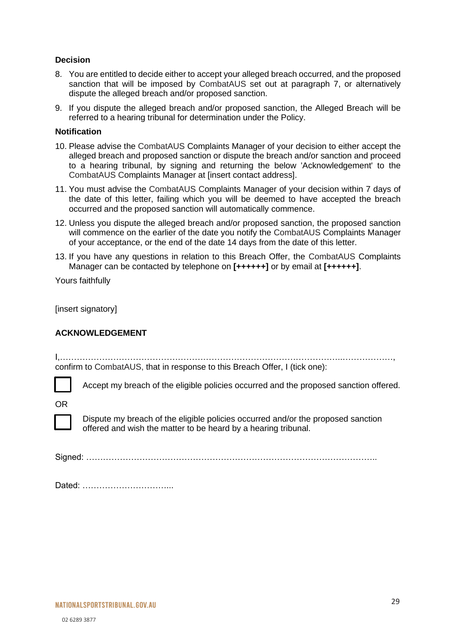#### **Decision**

- 8. You are entitled to decide either to accept your alleged breach occurred, and the proposed sanction that will be imposed by CombatAUS set out at paragraph 7, or alternatively dispute the alleged breach and/or proposed sanction.
- 9. If you dispute the alleged breach and/or proposed sanction, the Alleged Breach will be referred to a hearing tribunal for determination under the Policy.

#### **Notification**

- 10. Please advise the CombatAUS Complaints Manager of your decision to either accept the alleged breach and proposed sanction or dispute the breach and/or sanction and proceed to a hearing tribunal, by signing and returning the below 'Acknowledgement' to the CombatAUS Complaints Manager at [insert contact address].
- 11. You must advise the CombatAUS Complaints Manager of your decision within 7 days of the date of this letter, failing which you will be deemed to have accepted the breach occurred and the proposed sanction will automatically commence.
- 12. Unless you dispute the alleged breach and/or proposed sanction, the proposed sanction will commence on the earlier of the date you notify the CombatAUS Complaints Manager of your acceptance, or the end of the date 14 days from the date of this letter.
- 13. If you have any questions in relation to this Breach Offer, the CombatAUS Complaints Manager can be contacted by telephone on **[++++++]** or by email at **[++++++]**.

Yours faithfully

[insert signatory]

#### **ACKNOWLEDGEMENT**

I,………………………………………………………………………………………..………………, confirm to CombatAUS, that in response to this Breach Offer, I (tick one):

Accept my breach of the eligible policies occurred and the proposed sanction offered.

OR



Dispute my breach of the eligible policies occurred and/or the proposed sanction offered and wish the matter to be heard by a hearing tribunal.

Signed: …………………………………………………………………………………………..

|  | Dated: |  |
|--|--------|--|
|--|--------|--|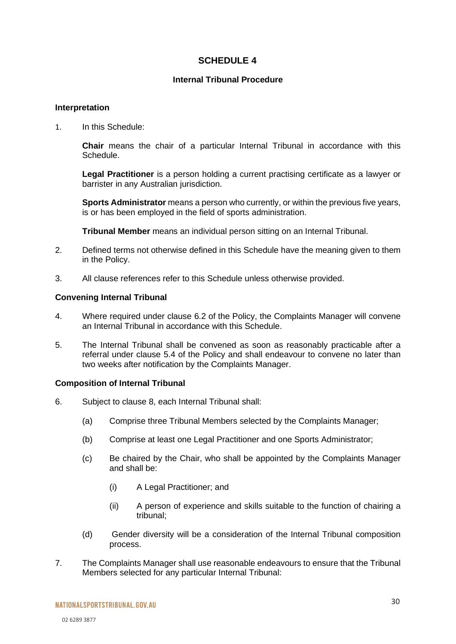### **SCHEDULE 4**

#### **Internal Tribunal Procedure**

#### <span id="page-29-0"></span>**Interpretation**

1. In this Schedule:

**Chair** means the chair of a particular Internal Tribunal in accordance with this Schedule.

**Legal Practitioner** is a person holding a current practising certificate as a lawyer or barrister in any Australian jurisdiction.

**Sports Administrator** means a person who currently, or within the previous five years, is or has been employed in the field of sports administration.

**Tribunal Member** means an individual person sitting on an Internal Tribunal.

- 2. Defined terms not otherwise defined in this Schedule have the meaning given to them in the Policy.
- 3. All clause references refer to this Schedule unless otherwise provided.

#### **Convening Internal Tribunal**

- 4. Where required under clause [6.2](#page-17-3) of the Policy, the Complaints Manager will convene an Internal Tribunal in accordance with this Schedule.
- 5. The Internal Tribunal shall be convened as soon as reasonably practicable after a referral under clause [5.4](#page-14-0) of the Policy and shall endeavour to convene no later than two weeks after notification by the Complaints Manager.

#### **Composition of Internal Tribunal**

- 6. Subject to clause 8, each Internal Tribunal shall:
	- (a) Comprise three Tribunal Members selected by the Complaints Manager;
	- (b) Comprise at least one Legal Practitioner and one Sports Administrator;
	- (c) Be chaired by the Chair, who shall be appointed by the Complaints Manager and shall be:
		- (i) A Legal Practitioner; and
		- (ii) A person of experience and skills suitable to the function of chairing a tribunal;
	- (d) Gender diversity will be a consideration of the Internal Tribunal composition process.
- 7. The Complaints Manager shall use reasonable endeavours to ensure that the Tribunal Members selected for any particular Internal Tribunal: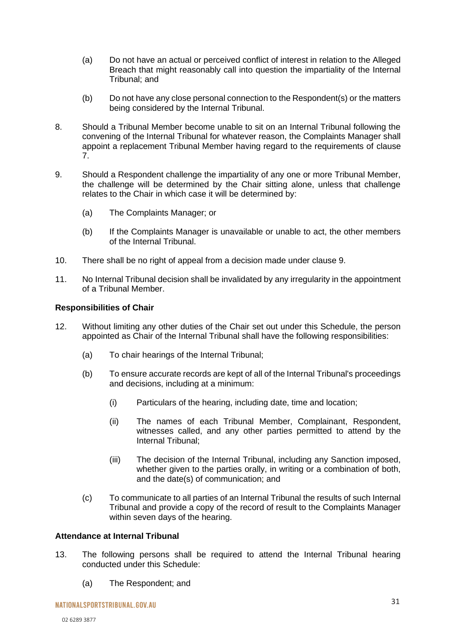- (a) Do not have an actual or perceived conflict of interest in relation to the Alleged Breach that might reasonably call into question the impartiality of the Internal Tribunal; and
- (b) Do not have any close personal connection to the Respondent(s) or the matters being considered by the Internal Tribunal.
- 8. Should a Tribunal Member become unable to sit on an Internal Tribunal following the convening of the Internal Tribunal for whatever reason, the Complaints Manager shall appoint a replacement Tribunal Member having regard to the requirements of clause 7.
- 9. Should a Respondent challenge the impartiality of any one or more Tribunal Member, the challenge will be determined by the Chair sitting alone, unless that challenge relates to the Chair in which case it will be determined by:
	- (a) The Complaints Manager; or
	- (b) If the Complaints Manager is unavailable or unable to act, the other members of the Internal Tribunal.
- 10. There shall be no right of appeal from a decision made under clause 9.
- 11. No Internal Tribunal decision shall be invalidated by any irregularity in the appointment of a Tribunal Member.

#### **Responsibilities of Chair**

- 12. Without limiting any other duties of the Chair set out under this Schedule, the person appointed as Chair of the Internal Tribunal shall have the following responsibilities:
	- (a) To chair hearings of the Internal Tribunal;
	- (b) To ensure accurate records are kept of all of the Internal Tribunal's proceedings and decisions, including at a minimum:
		- (i) Particulars of the hearing, including date, time and location;
		- (ii) The names of each Tribunal Member, Complainant, Respondent, witnesses called, and any other parties permitted to attend by the Internal Tribunal;
		- (iii) The decision of the Internal Tribunal, including any Sanction imposed, whether given to the parties orally, in writing or a combination of both, and the date(s) of communication; and
	- (c) To communicate to all parties of an Internal Tribunal the results of such Internal Tribunal and provide a copy of the record of result to the Complaints Manager within seven days of the hearing.

#### **Attendance at Internal Tribunal**

- 13. The following persons shall be required to attend the Internal Tribunal hearing conducted under this Schedule:
	- (a) The Respondent; and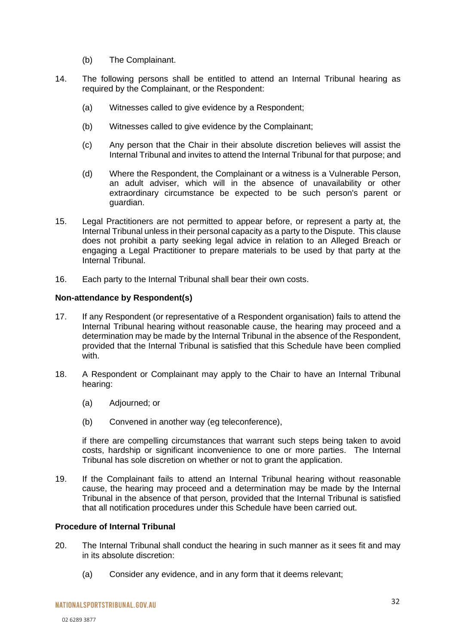- (b) The Complainant.
- 14. The following persons shall be entitled to attend an Internal Tribunal hearing as required by the Complainant, or the Respondent:
	- (a) Witnesses called to give evidence by a Respondent;
	- (b) Witnesses called to give evidence by the Complainant;
	- (c) Any person that the Chair in their absolute discretion believes will assist the Internal Tribunal and invites to attend the Internal Tribunal for that purpose; and
	- (d) Where the Respondent, the Complainant or a witness is a Vulnerable Person, an adult adviser, which will in the absence of unavailability or other extraordinary circumstance be expected to be such person's parent or guardian.
- 15. Legal Practitioners are not permitted to appear before, or represent a party at, the Internal Tribunal unless in their personal capacity as a party to the Dispute. This clause does not prohibit a party seeking legal advice in relation to an Alleged Breach or engaging a Legal Practitioner to prepare materials to be used by that party at the Internal Tribunal.
- 16. Each party to the Internal Tribunal shall bear their own costs.

#### **Non-attendance by Respondent(s)**

- 17. If any Respondent (or representative of a Respondent organisation) fails to attend the Internal Tribunal hearing without reasonable cause, the hearing may proceed and a determination may be made by the Internal Tribunal in the absence of the Respondent, provided that the Internal Tribunal is satisfied that this Schedule have been complied with.
- 18. A Respondent or Complainant may apply to the Chair to have an Internal Tribunal hearing:
	- (a) Adjourned; or
	- (b) Convened in another way (eg teleconference),

if there are compelling circumstances that warrant such steps being taken to avoid costs, hardship or significant inconvenience to one or more parties. The Internal Tribunal has sole discretion on whether or not to grant the application.

19. If the Complainant fails to attend an Internal Tribunal hearing without reasonable cause, the hearing may proceed and a determination may be made by the Internal Tribunal in the absence of that person, provided that the Internal Tribunal is satisfied that all notification procedures under this Schedule have been carried out.

#### **Procedure of Internal Tribunal**

- 20. The Internal Tribunal shall conduct the hearing in such manner as it sees fit and may in its absolute discretion:
	- (a) Consider any evidence, and in any form that it deems relevant;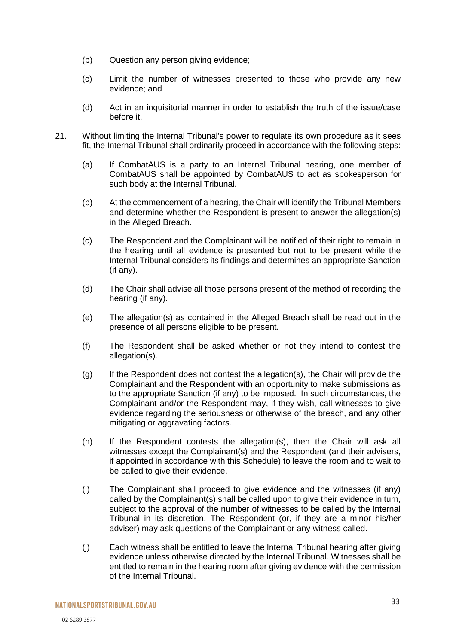- (b) Question any person giving evidence;
- (c) Limit the number of witnesses presented to those who provide any new evidence; and
- (d) Act in an inquisitorial manner in order to establish the truth of the issue/case before it.
- 21. Without limiting the Internal Tribunal's power to regulate its own procedure as it sees fit, the Internal Tribunal shall ordinarily proceed in accordance with the following steps:
	- (a) If CombatAUS is a party to an Internal Tribunal hearing, one member of CombatAUS shall be appointed by CombatAUS to act as spokesperson for such body at the Internal Tribunal.
	- (b) At the commencement of a hearing, the Chair will identify the Tribunal Members and determine whether the Respondent is present to answer the allegation(s) in the Alleged Breach.
	- (c) The Respondent and the Complainant will be notified of their right to remain in the hearing until all evidence is presented but not to be present while the Internal Tribunal considers its findings and determines an appropriate Sanction (if any).
	- (d) The Chair shall advise all those persons present of the method of recording the hearing (if any).
	- (e) The allegation(s) as contained in the Alleged Breach shall be read out in the presence of all persons eligible to be present.
	- (f) The Respondent shall be asked whether or not they intend to contest the allegation(s).
	- (g) If the Respondent does not contest the allegation(s), the Chair will provide the Complainant and the Respondent with an opportunity to make submissions as to the appropriate Sanction (if any) to be imposed. In such circumstances, the Complainant and/or the Respondent may, if they wish, call witnesses to give evidence regarding the seriousness or otherwise of the breach, and any other mitigating or aggravating factors.
	- (h) If the Respondent contests the allegation(s), then the Chair will ask all witnesses except the Complainant(s) and the Respondent (and their advisers, if appointed in accordance with this Schedule) to leave the room and to wait to be called to give their evidence.
	- (i) The Complainant shall proceed to give evidence and the witnesses (if any) called by the Complainant(s) shall be called upon to give their evidence in turn, subject to the approval of the number of witnesses to be called by the Internal Tribunal in its discretion. The Respondent (or, if they are a minor his/her adviser) may ask questions of the Complainant or any witness called.
	- (j) Each witness shall be entitled to leave the Internal Tribunal hearing after giving evidence unless otherwise directed by the Internal Tribunal. Witnesses shall be entitled to remain in the hearing room after giving evidence with the permission of the Internal Tribunal.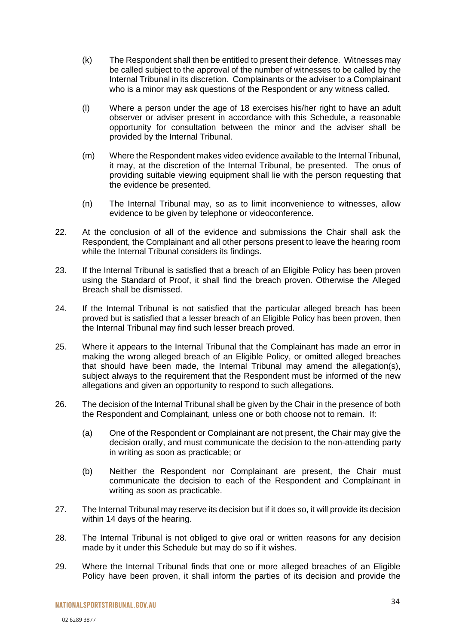- (k) The Respondent shall then be entitled to present their defence. Witnesses may be called subject to the approval of the number of witnesses to be called by the Internal Tribunal in its discretion. Complainants or the adviser to a Complainant who is a minor may ask questions of the Respondent or any witness called.
- (l) Where a person under the age of 18 exercises his/her right to have an adult observer or adviser present in accordance with this Schedule, a reasonable opportunity for consultation between the minor and the adviser shall be provided by the Internal Tribunal.
- (m) Where the Respondent makes video evidence available to the Internal Tribunal, it may, at the discretion of the Internal Tribunal, be presented. The onus of providing suitable viewing equipment shall lie with the person requesting that the evidence be presented.
- (n) The Internal Tribunal may, so as to limit inconvenience to witnesses, allow evidence to be given by telephone or videoconference.
- 22. At the conclusion of all of the evidence and submissions the Chair shall ask the Respondent, the Complainant and all other persons present to leave the hearing room while the Internal Tribunal considers its findings.
- 23. If the Internal Tribunal is satisfied that a breach of an Eligible Policy has been proven using the Standard of Proof, it shall find the breach proven. Otherwise the Alleged Breach shall be dismissed.
- 24. If the Internal Tribunal is not satisfied that the particular alleged breach has been proved but is satisfied that a lesser breach of an Eligible Policy has been proven, then the Internal Tribunal may find such lesser breach proved.
- 25. Where it appears to the Internal Tribunal that the Complainant has made an error in making the wrong alleged breach of an Eligible Policy, or omitted alleged breaches that should have been made, the Internal Tribunal may amend the allegation(s), subject always to the requirement that the Respondent must be informed of the new allegations and given an opportunity to respond to such allegations.
- 26. The decision of the Internal Tribunal shall be given by the Chair in the presence of both the Respondent and Complainant, unless one or both choose not to remain. If:
	- (a) One of the Respondent or Complainant are not present, the Chair may give the decision orally, and must communicate the decision to the non-attending party in writing as soon as practicable; or
	- (b) Neither the Respondent nor Complainant are present, the Chair must communicate the decision to each of the Respondent and Complainant in writing as soon as practicable.
- 27. The Internal Tribunal may reserve its decision but if it does so, it will provide its decision within 14 days of the hearing.
- 28. The Internal Tribunal is not obliged to give oral or written reasons for any decision made by it under this Schedule but may do so if it wishes.
- 29. Where the Internal Tribunal finds that one or more alleged breaches of an Eligible Policy have been proven, it shall inform the parties of its decision and provide the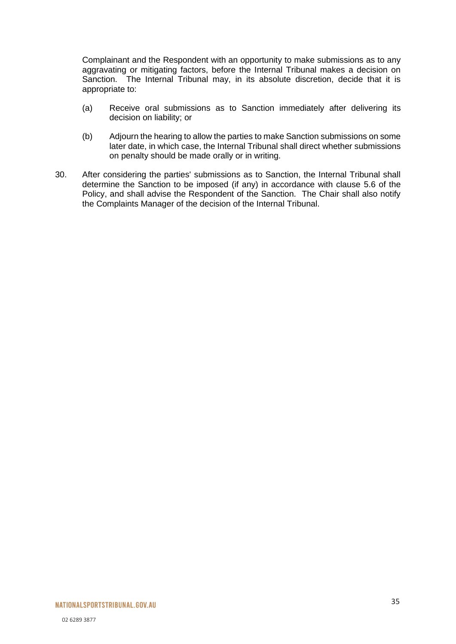Complainant and the Respondent with an opportunity to make submissions as to any aggravating or mitigating factors, before the Internal Tribunal makes a decision on Sanction. The Internal Tribunal may, in its absolute discretion, decide that it is appropriate to:

- (a) Receive oral submissions as to Sanction immediately after delivering its decision on liability; or
- (b) Adjourn the hearing to allow the parties to make Sanction submissions on some later date, in which case, the Internal Tribunal shall direct whether submissions on penalty should be made orally or in writing.
- 30. After considering the parties' submissions as to Sanction, the Internal Tribunal shall determine the Sanction to be imposed (if any) in accordance with clause [5.6](#page-16-0) of the Policy, and shall advise the Respondent of the Sanction. The Chair shall also notify the Complaints Manager of the decision of the Internal Tribunal.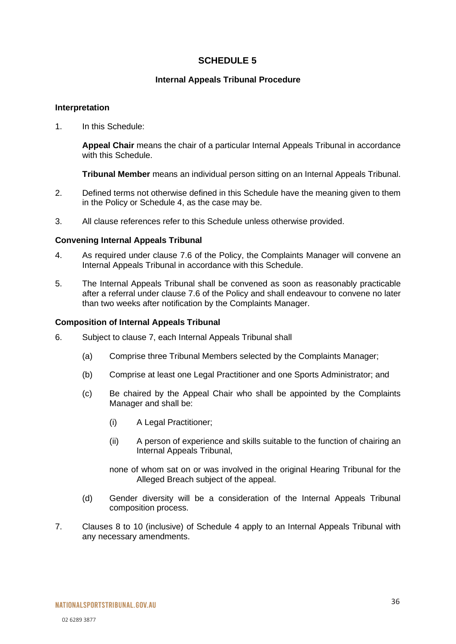### **SCHEDULE 5**

#### **Internal Appeals Tribunal Procedure**

#### <span id="page-35-0"></span>**Interpretation**

1. In this Schedule:

**Appeal Chair** means the chair of a particular Internal Appeals Tribunal in accordance with this Schedule.

**Tribunal Member** means an individual person sitting on an Internal Appeals Tribunal.

- 2. Defined terms not otherwise defined in this Schedule have the meaning given to them in the Policy or Schedule 4, as the case may be.
- 3. All clause references refer to this Schedule unless otherwise provided.

#### **Convening Internal Appeals Tribunal**

- 4. As required under clause [7.6](#page-19-1) of the Policy, the Complaints Manager will convene an Internal Appeals Tribunal in accordance with this Schedule.
- 5. The Internal Appeals Tribunal shall be convened as soon as reasonably practicable after a referral under clause [7.6](#page-19-1) of the Policy and shall endeavour to convene no later than two weeks after notification by the Complaints Manager.

#### **Composition of Internal Appeals Tribunal**

- 6. Subject to clause 7, each Internal Appeals Tribunal shall
	- (a) Comprise three Tribunal Members selected by the Complaints Manager;
	- (b) Comprise at least one Legal Practitioner and one Sports Administrator; and
	- (c) Be chaired by the Appeal Chair who shall be appointed by the Complaints Manager and shall be:
		- (i) A Legal Practitioner;
		- (ii) A person of experience and skills suitable to the function of chairing an Internal Appeals Tribunal,

none of whom sat on or was involved in the original Hearing Tribunal for the Alleged Breach subject of the appeal.

- (d) Gender diversity will be a consideration of the Internal Appeals Tribunal composition process.
- 7. Clauses 8 to 10 (inclusive) of Schedule 4 apply to an Internal Appeals Tribunal with any necessary amendments.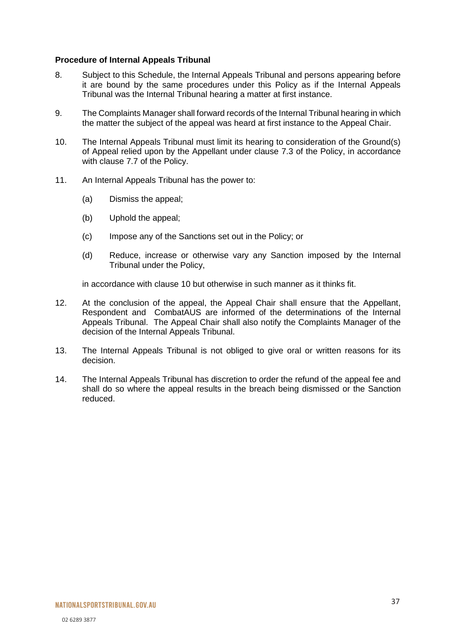#### **Procedure of Internal Appeals Tribunal**

- 8. Subject to this Schedule, the Internal Appeals Tribunal and persons appearing before it are bound by the same procedures under this Policy as if the Internal Appeals Tribunal was the Internal Tribunal hearing a matter at first instance.
- 9. The Complaints Manager shall forward records of the Internal Tribunal hearing in which the matter the subject of the appeal was heard at first instance to the Appeal Chair.
- 10. The Internal Appeals Tribunal must limit its hearing to consideration of the Ground(s) of Appeal relied upon by the Appellant under clause [7.3](#page-18-2) of the Policy, in accordance with clause [7.7](#page-19-0) of the Policy.
- 11. An Internal Appeals Tribunal has the power to:
	- (a) Dismiss the appeal;
	- (b) Uphold the appeal;
	- (c) Impose any of the Sanctions set out in the Policy; or
	- (d) Reduce, increase or otherwise vary any Sanction imposed by the Internal Tribunal under the Policy,

in accordance with clause 10 but otherwise in such manner as it thinks fit.

- 12. At the conclusion of the appeal, the Appeal Chair shall ensure that the Appellant, Respondent and CombatAUS are informed of the determinations of the Internal Appeals Tribunal. The Appeal Chair shall also notify the Complaints Manager of the decision of the Internal Appeals Tribunal.
- 13. The Internal Appeals Tribunal is not obliged to give oral or written reasons for its decision.
- 14. The Internal Appeals Tribunal has discretion to order the refund of the appeal fee and shall do so where the appeal results in the breach being dismissed or the Sanction reduced.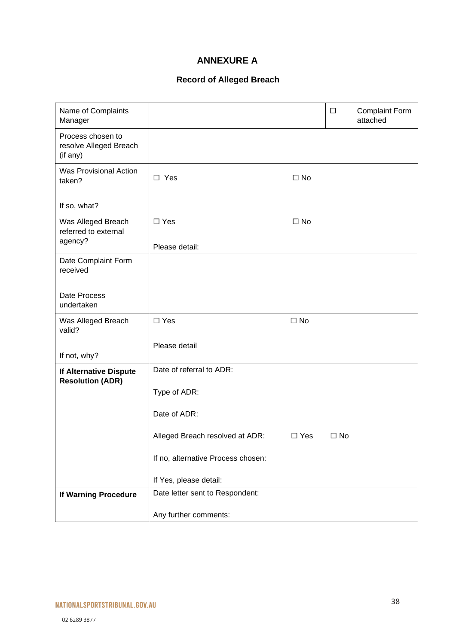## **ANNEXURE A**

## **Record of Alleged Breach**

<span id="page-37-0"></span>

| Name of Complaints<br>Manager                           |                                    |              | $\Box$       | <b>Complaint Form</b><br>attached |
|---------------------------------------------------------|------------------------------------|--------------|--------------|-----------------------------------|
| Process chosen to<br>resolve Alleged Breach<br>(if any) |                                    |              |              |                                   |
| <b>Was Provisional Action</b><br>taken?                 | $\square$ Yes                      | $\square$ No |              |                                   |
| If so, what?                                            |                                    |              |              |                                   |
| Was Alleged Breach<br>referred to external<br>agency?   | $\square$ Yes                      | $\square$ No |              |                                   |
|                                                         | Please detail:                     |              |              |                                   |
| Date Complaint Form<br>received                         |                                    |              |              |                                   |
| Date Process<br>undertaken                              |                                    |              |              |                                   |
| Was Alleged Breach<br>valid?                            | $\Box$ Yes                         | $\square$ No |              |                                   |
| If not, why?                                            | Please detail                      |              |              |                                   |
| If Alternative Dispute<br><b>Resolution (ADR)</b>       | Date of referral to ADR:           |              |              |                                   |
|                                                         | Type of ADR:                       |              |              |                                   |
|                                                         | Date of ADR:                       |              |              |                                   |
|                                                         | Alleged Breach resolved at ADR:    | $\Box$ Yes   | $\square$ No |                                   |
|                                                         | If no, alternative Process chosen: |              |              |                                   |
|                                                         | If Yes, please detail:             |              |              |                                   |
| If Warning Procedure                                    | Date letter sent to Respondent:    |              |              |                                   |
|                                                         | Any further comments:              |              |              |                                   |